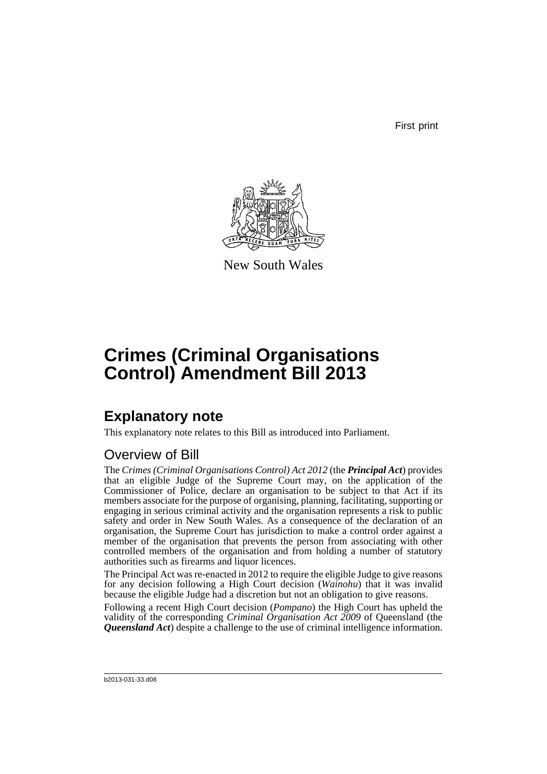First print



New South Wales

# **Crimes (Criminal Organisations Control) Amendment Bill 2013**

# **Explanatory note**

This explanatory note relates to this Bill as introduced into Parliament.

# Overview of Bill

The *Crimes (Criminal Organisations Control) Act 2012* (the *Principal Act*) provides that an eligible Judge of the Supreme Court may, on the application of the Commissioner of Police, declare an organisation to be subject to that Act if its members associate for the purpose of organising, planning, facilitating, supporting or engaging in serious criminal activity and the organisation represents a risk to public safety and order in New South Wales. As a consequence of the declaration of an organisation, the Supreme Court has jurisdiction to make a control order against a member of the organisation that prevents the person from associating with other controlled members of the organisation and from holding a number of statutory authorities such as firearms and liquor licences.

The Principal Act was re-enacted in 2012 to require the eligible Judge to give reasons for any decision following a High Court decision (*Wainohu*) that it was invalid because the eligible Judge had a discretion but not an obligation to give reasons.

Following a recent High Court decision (*Pompano*) the High Court has upheld the validity of the corresponding *Criminal Organisation Act 2009* of Queensland (the *Queensland Act*) despite a challenge to the use of criminal intelligence information.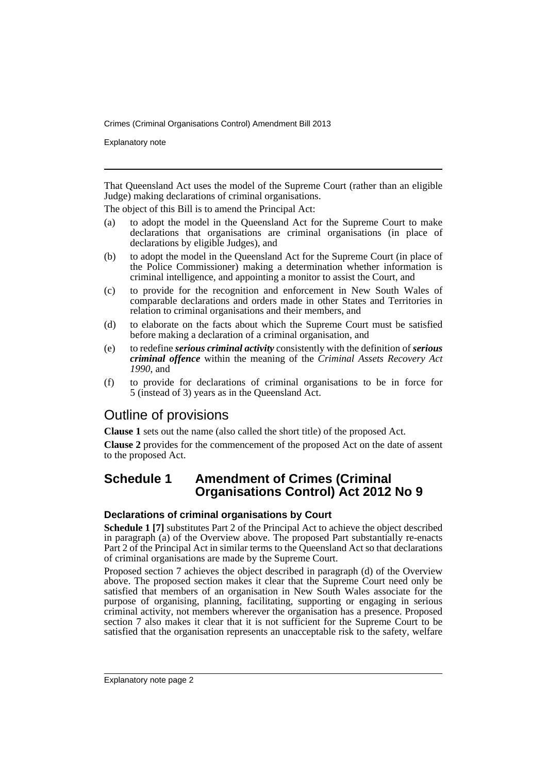Explanatory note

That Queensland Act uses the model of the Supreme Court (rather than an eligible Judge) making declarations of criminal organisations.

The object of this Bill is to amend the Principal Act:

- (a) to adopt the model in the Queensland Act for the Supreme Court to make declarations that organisations are criminal organisations (in place of declarations by eligible Judges), and
- (b) to adopt the model in the Queensland Act for the Supreme Court (in place of the Police Commissioner) making a determination whether information is criminal intelligence, and appointing a monitor to assist the Court, and
- (c) to provide for the recognition and enforcement in New South Wales of comparable declarations and orders made in other States and Territories in relation to criminal organisations and their members, and
- (d) to elaborate on the facts about which the Supreme Court must be satisfied before making a declaration of a criminal organisation, and
- (e) to redefine *serious criminal activity* consistently with the definition of *serious criminal offence* within the meaning of the *Criminal Assets Recovery Act 1990*, and
- (f) to provide for declarations of criminal organisations to be in force for 5 (instead of 3) years as in the Queensland Act.

# Outline of provisions

**Clause 1** sets out the name (also called the short title) of the proposed Act.

**Clause 2** provides for the commencement of the proposed Act on the date of assent to the proposed Act.

# **Schedule 1 Amendment of Crimes (Criminal Organisations Control) Act 2012 No 9**

# **Declarations of criminal organisations by Court**

**Schedule 1 [7]** substitutes Part 2 of the Principal Act to achieve the object described in paragraph (a) of the Overview above. The proposed Part substantially re-enacts Part 2 of the Principal Act in similar terms to the Queensland Act so that declarations of criminal organisations are made by the Supreme Court.

Proposed section 7 achieves the object described in paragraph (d) of the Overview above. The proposed section makes it clear that the Supreme Court need only be satisfied that members of an organisation in New South Wales associate for the purpose of organising, planning, facilitating, supporting or engaging in serious criminal activity, not members wherever the organisation has a presence. Proposed section 7 also makes it clear that it is not sufficient for the Supreme Court to be satisfied that the organisation represents an unacceptable risk to the safety, welfare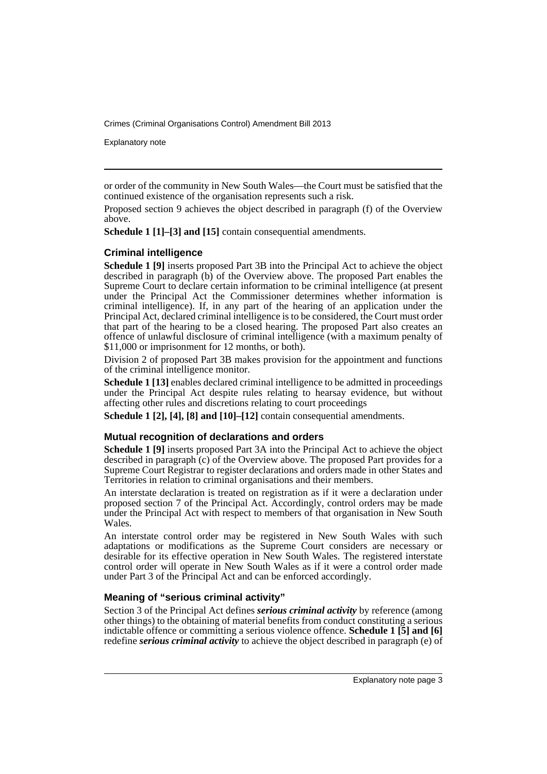Explanatory note

or order of the community in New South Wales—the Court must be satisfied that the continued existence of the organisation represents such a risk.

Proposed section 9 achieves the object described in paragraph (f) of the Overview above.

**Schedule 1 [1]–[3] and [15]** contain consequential amendments.

# **Criminal intelligence**

**Schedule 1 [9]** inserts proposed Part 3B into the Principal Act to achieve the object described in paragraph (b) of the Overview above. The proposed Part enables the Supreme Court to declare certain information to be criminal intelligence (at present under the Principal Act the Commissioner determines whether information is criminal intelligence). If, in any part of the hearing of an application under the Principal Act, declared criminal intelligence is to be considered, the Court must order that part of the hearing to be a closed hearing. The proposed Part also creates an offence of unlawful disclosure of criminal intelligence (with a maximum penalty of \$11,000 or imprisonment for 12 months, or both).

Division 2 of proposed Part 3B makes provision for the appointment and functions of the criminal intelligence monitor.

**Schedule 1 [13]** enables declared criminal intelligence to be admitted in proceedings under the Principal Act despite rules relating to hearsay evidence, but without affecting other rules and discretions relating to court proceedings

**Schedule 1 [2], [4], [8] and [10]–[12]** contain consequential amendments.

# **Mutual recognition of declarations and orders**

**Schedule 1 [9]** inserts proposed Part 3A into the Principal Act to achieve the object described in paragraph (c) of the Overview above. The proposed Part provides for a Supreme Court Registrar to register declarations and orders made in other States and Territories in relation to criminal organisations and their members.

An interstate declaration is treated on registration as if it were a declaration under proposed section 7 of the Principal Act. Accordingly, control orders may be made under the Principal Act with respect to members of that organisation in New South Wales.

An interstate control order may be registered in New South Wales with such adaptations or modifications as the Supreme Court considers are necessary or desirable for its effective operation in New South Wales. The registered interstate control order will operate in New South Wales as if it were a control order made under Part 3 of the Principal Act and can be enforced accordingly.

# **Meaning of "serious criminal activity"**

Section 3 of the Principal Act defines *serious criminal activity* by reference (among other things) to the obtaining of material benefits from conduct constituting a serious indictable offence or committing a serious violence offence. **Schedule 1 [5] and [6]** redefine *serious criminal activity* to achieve the object described in paragraph (e) of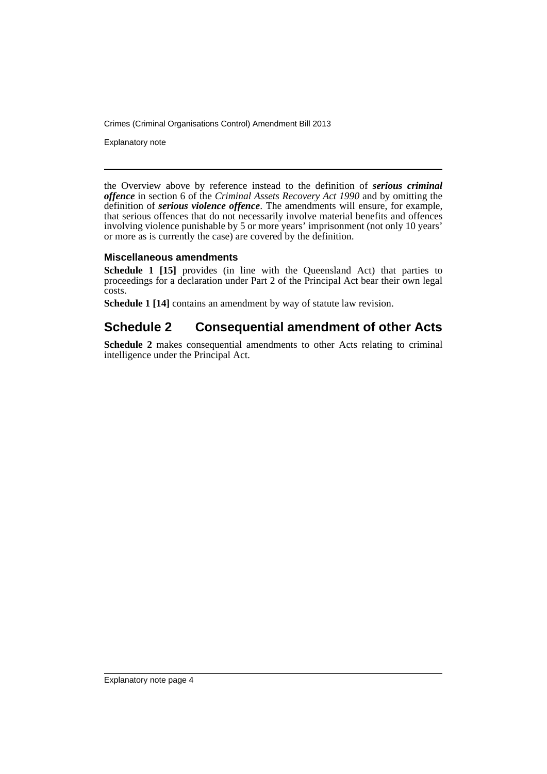Explanatory note

the Overview above by reference instead to the definition of *serious criminal offence* in section 6 of the *Criminal Assets Recovery Act 1990* and by omitting the definition of *serious violence offence*. The amendments will ensure, for example, that serious offences that do not necessarily involve material benefits and offences involving violence punishable by 5 or more years' imprisonment (not only 10 years' or more as is currently the case) are covered by the definition.

# **Miscellaneous amendments**

**Schedule 1 [15]** provides (in line with the Queensland Act) that parties to proceedings for a declaration under Part 2 of the Principal Act bear their own legal costs.

**Schedule 1 [14]** contains an amendment by way of statute law revision.

# **Schedule 2 Consequential amendment of other Acts**

**Schedule 2** makes consequential amendments to other Acts relating to criminal intelligence under the Principal Act.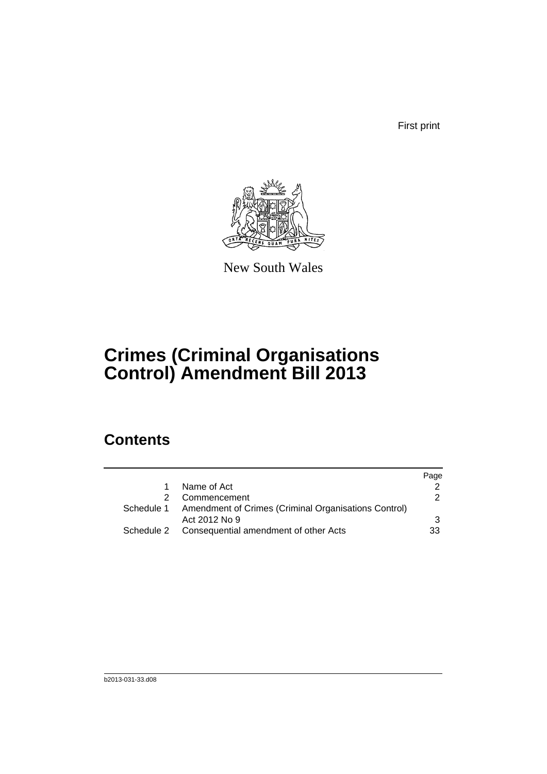First print



New South Wales

# **Crimes (Criminal Organisations Control) Amendment Bill 2013**

# **Contents**

|               | Page                                                                                                     |
|---------------|----------------------------------------------------------------------------------------------------------|
| Name of Act   |                                                                                                          |
| Commencement  | $\mathcal{P}$                                                                                            |
|               |                                                                                                          |
| Act 2012 No 9 | 3                                                                                                        |
|               | 33                                                                                                       |
|               | Schedule 1 Amendment of Crimes (Criminal Organisations Control)<br>Consequential amendment of other Acts |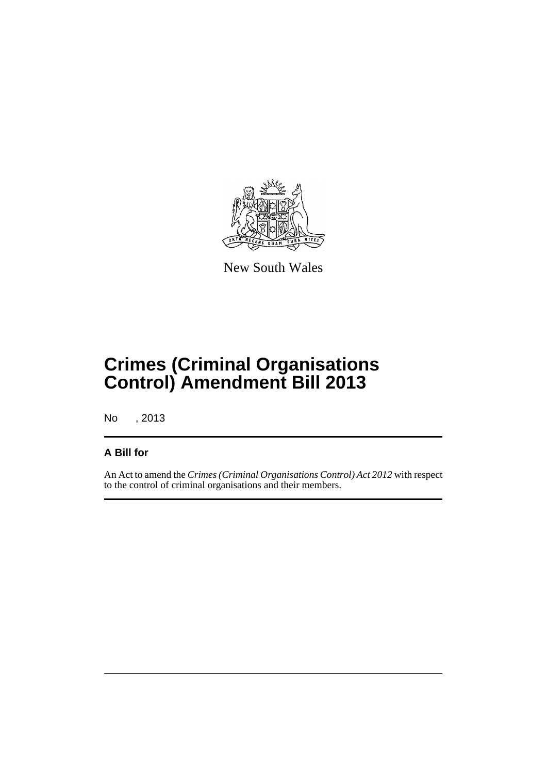

New South Wales

# **Crimes (Criminal Organisations Control) Amendment Bill 2013**

No , 2013

# **A Bill for**

An Act to amend the *Crimes (Criminal Organisations Control) Act 2012* with respect to the control of criminal organisations and their members.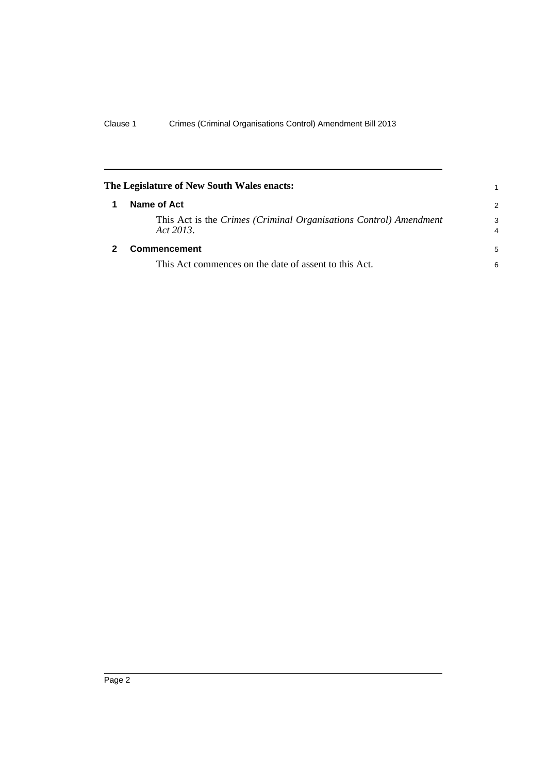<span id="page-7-1"></span><span id="page-7-0"></span>

| The Legislature of New South Wales enacts:                                     |               |
|--------------------------------------------------------------------------------|---------------|
| Name of Act                                                                    | $\mathcal{P}$ |
| This Act is the Crimes (Criminal Organisations Control) Amendment<br>Act 2013. | 3<br>4        |
| <b>Commencement</b>                                                            | 5             |
| This Act commences on the date of assent to this Act.                          | 6             |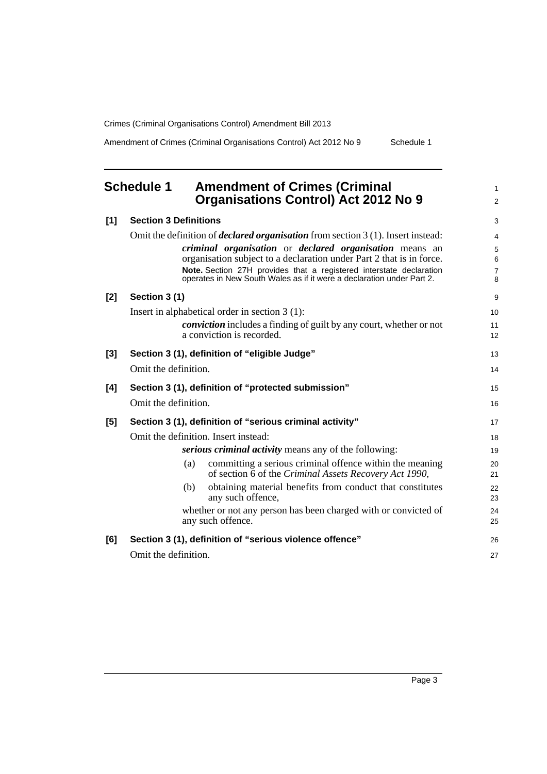Amendment of Crimes (Criminal Organisations Control) Act 2012 No 9 Schedule 1

1 2

<span id="page-8-0"></span>

| [1]   | <b>Section 3 Definitions</b>                                                                                                                  |                |  |  |  |  |  |
|-------|-----------------------------------------------------------------------------------------------------------------------------------------------|----------------|--|--|--|--|--|
|       | Omit the definition of <i>declared organisation</i> from section 3 (1). Insert instead:                                                       |                |  |  |  |  |  |
|       | <i>criminal organisation</i> or <i>declared organisation</i> means an<br>organisation subject to a declaration under Part 2 that is in force. | 5<br>6         |  |  |  |  |  |
|       | Note. Section 27H provides that a registered interstate declaration                                                                           | $\overline{7}$ |  |  |  |  |  |
|       | operates in New South Wales as if it were a declaration under Part 2.                                                                         | 8              |  |  |  |  |  |
| $[2]$ | Section 3 (1)                                                                                                                                 | 9              |  |  |  |  |  |
|       | Insert in alphabetical order in section $3(1)$ :                                                                                              | 10             |  |  |  |  |  |
|       | <i>conviction</i> includes a finding of guilt by any court, whether or not<br>a conviction is recorded.                                       | 11<br>12       |  |  |  |  |  |
| $[3]$ | Section 3 (1), definition of "eligible Judge"                                                                                                 | 13             |  |  |  |  |  |
|       | Omit the definition.                                                                                                                          | 14             |  |  |  |  |  |
| [4]   | Section 3 (1), definition of "protected submission"                                                                                           | 15             |  |  |  |  |  |
|       | Omit the definition.                                                                                                                          | 16             |  |  |  |  |  |
| $[5]$ | Section 3 (1), definition of "serious criminal activity"                                                                                      | 17             |  |  |  |  |  |
|       | Omit the definition. Insert instead:                                                                                                          | 18             |  |  |  |  |  |
|       | <i>serious criminal activity</i> means any of the following:                                                                                  | 19             |  |  |  |  |  |
|       | committing a serious criminal offence within the meaning<br>(a)<br>of section 6 of the Criminal Assets Recovery Act 1990,                     | 20<br>21       |  |  |  |  |  |
|       | obtaining material benefits from conduct that constitutes<br>(b)<br>any such offence,                                                         | 22<br>23       |  |  |  |  |  |
|       | whether or not any person has been charged with or convicted of<br>any such offence.                                                          | 24<br>25       |  |  |  |  |  |
| [6]   | Section 3 (1), definition of "serious violence offence"                                                                                       | 26             |  |  |  |  |  |
|       | Omit the definition.                                                                                                                          | 27             |  |  |  |  |  |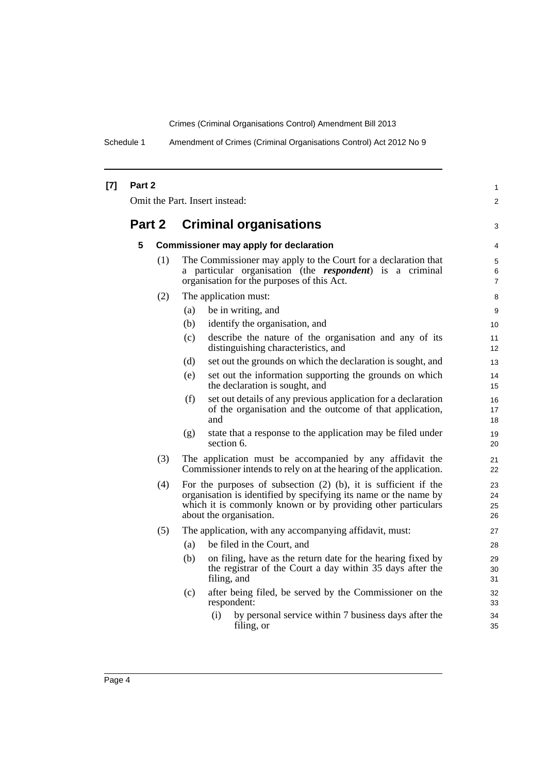| $[7]$ | Part 2<br>Omit the Part. Insert instead: |     |     |             |                                                                                                                                                                                                                                     |                          |  |
|-------|------------------------------------------|-----|-----|-------------|-------------------------------------------------------------------------------------------------------------------------------------------------------------------------------------------------------------------------------------|--------------------------|--|
|       |                                          |     |     |             |                                                                                                                                                                                                                                     |                          |  |
|       | Part 2                                   |     |     |             | <b>Criminal organisations</b>                                                                                                                                                                                                       | 3                        |  |
|       | 5                                        |     |     |             | Commissioner may apply for declaration                                                                                                                                                                                              | 4                        |  |
|       |                                          | (1) |     |             | The Commissioner may apply to the Court for a declaration that<br>a particular organisation (the <i>respondent</i> ) is a criminal<br>organisation for the purposes of this Act.                                                    | 5<br>6<br>$\overline{7}$ |  |
|       |                                          | (2) |     |             | The application must:                                                                                                                                                                                                               | 8                        |  |
|       |                                          |     | (a) |             | be in writing, and                                                                                                                                                                                                                  | 9                        |  |
|       |                                          |     | (b) |             | identify the organisation, and                                                                                                                                                                                                      | 10                       |  |
|       |                                          |     | (c) |             | describe the nature of the organisation and any of its<br>distinguishing characteristics, and                                                                                                                                       | 11<br>12                 |  |
|       |                                          |     | (d) |             | set out the grounds on which the declaration is sought, and                                                                                                                                                                         | 13                       |  |
|       |                                          |     | (e) |             | set out the information supporting the grounds on which<br>the declaration is sought, and                                                                                                                                           | 14<br>15                 |  |
|       |                                          |     | (f) | and         | set out details of any previous application for a declaration<br>of the organisation and the outcome of that application,                                                                                                           | 16<br>17<br>18           |  |
|       |                                          |     | (g) | section 6.  | state that a response to the application may be filed under                                                                                                                                                                         | 19<br>20                 |  |
|       |                                          | (3) |     |             | The application must be accompanied by any affidavit the<br>Commissioner intends to rely on at the hearing of the application.                                                                                                      | 21<br>22                 |  |
|       |                                          | (4) |     |             | For the purposes of subsection $(2)$ $(b)$ , it is sufficient if the<br>organisation is identified by specifying its name or the name by<br>which it is commonly known or by providing other particulars<br>about the organisation. | 23<br>24<br>25<br>26     |  |
|       |                                          | (5) |     |             | The application, with any accompanying affidavit, must:                                                                                                                                                                             | 27                       |  |
|       |                                          |     | (a) |             | be filed in the Court, and                                                                                                                                                                                                          | 28                       |  |
|       |                                          |     | (b) | filing, and | on filing, have as the return date for the hearing fixed by<br>the registrar of the Court a day within 35 days after the                                                                                                            | 29<br>30<br>31           |  |
|       |                                          |     | (c) |             | after being filed, be served by the Commissioner on the<br>respondent:                                                                                                                                                              | 32<br>33                 |  |
|       |                                          |     |     | (i)         | by personal service within 7 business days after the<br>filing, or                                                                                                                                                                  | 34<br>35                 |  |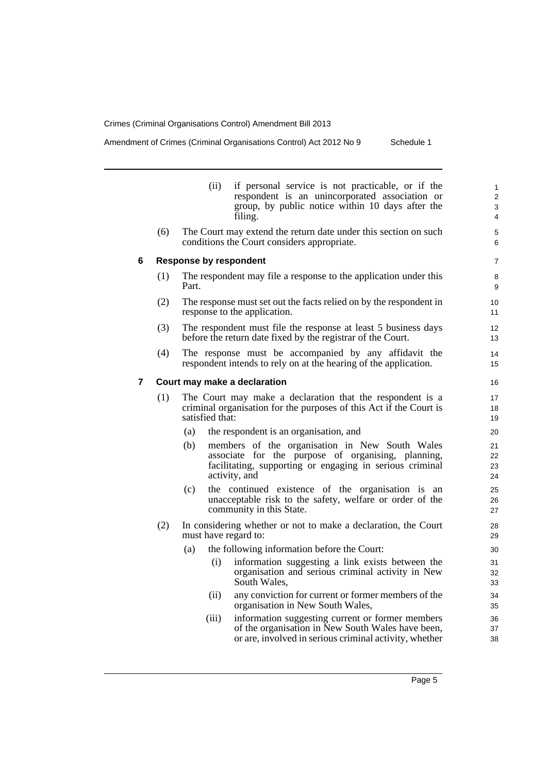Amendment of Crimes (Criminal Organisations Control) Act 2012 No 9 Schedule 1

|     | if personal service is not practicable, or if the<br>(ii)<br>respondent is an unincorporated association or<br>group, by public notice within 10 days after the<br>filing.               | $\mathbf{1}$<br>$\overline{2}$<br>3<br>4                                                                          |
|-----|------------------------------------------------------------------------------------------------------------------------------------------------------------------------------------------|-------------------------------------------------------------------------------------------------------------------|
| (6) | The Court may extend the return date under this section on such<br>conditions the Court considers appropriate.                                                                           | 5<br>6                                                                                                            |
|     |                                                                                                                                                                                          | $\overline{7}$                                                                                                    |
| (1) | The respondent may file a response to the application under this<br>Part.                                                                                                                | 8<br>9                                                                                                            |
| (2) | The response must set out the facts relied on by the respondent in<br>response to the application.                                                                                       | 10<br>11                                                                                                          |
| (3) | The respondent must file the response at least 5 business days<br>before the return date fixed by the registrar of the Court.                                                            | 12<br>13                                                                                                          |
| (4) | The response must be accompanied by any affidavit the<br>respondent intends to rely on at the hearing of the application.                                                                | 14<br>15                                                                                                          |
|     |                                                                                                                                                                                          | 16                                                                                                                |
| (1) | The Court may make a declaration that the respondent is a<br>criminal organisation for the purposes of this Act if the Court is<br>satisfied that:                                       | 17<br>18<br>19                                                                                                    |
|     | the respondent is an organisation, and<br>(a)                                                                                                                                            | 20                                                                                                                |
|     | (b)<br>members of the organisation in New South Wales<br>associate for the purpose of organising, planning,<br>facilitating, supporting or engaging in serious criminal<br>activity, and | 21<br>22<br>23<br>24                                                                                              |
|     | (c)<br>the continued existence of the organisation is an<br>unacceptable risk to the safety, welfare or order of the<br>community in this State.                                         | 25<br>26<br>27                                                                                                    |
| (2) | In considering whether or not to make a declaration, the Court<br>must have regard to:                                                                                                   | 28<br>29                                                                                                          |
|     | the following information before the Court:<br>(a)                                                                                                                                       | 30                                                                                                                |
|     | (i)<br>organisation and serious criminal activity in New<br>South Wales,                                                                                                                 | 31<br>32<br>33                                                                                                    |
|     | any conviction for current or former members of the<br>(ii)<br>organisation in New South Wales,                                                                                          | 34<br>35                                                                                                          |
|     | information suggesting current or former members<br>(iii)<br>of the organisation in New South Wales have been,<br>or are, involved in serious criminal activity, whether                 | 36<br>37<br>38                                                                                                    |
|     |                                                                                                                                                                                          | <b>Response by respondent</b><br>Court may make a declaration<br>information suggesting a link exists between the |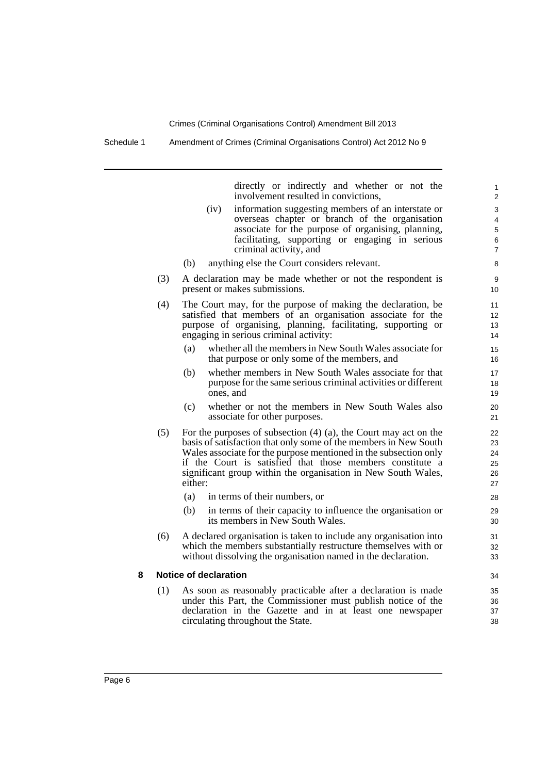Schedule 1 Amendment of Crimes (Criminal Organisations Control) Act 2012 No 9

directly or indirectly and whether or not the involvement resulted in convictions,

- (iv) information suggesting members of an interstate or overseas chapter or branch of the organisation associate for the purpose of organising, planning, facilitating, supporting or engaging in serious criminal activity, and
- (b) anything else the Court considers relevant.
- (3) A declaration may be made whether or not the respondent is present or makes submissions.
- (4) The Court may, for the purpose of making the declaration, be satisfied that members of an organisation associate for the purpose of organising, planning, facilitating, supporting or engaging in serious criminal activity:
	- (a) whether all the members in New South Wales associate for that purpose or only some of the members, and
	- (b) whether members in New South Wales associate for that purpose for the same serious criminal activities or different ones, and
	- (c) whether or not the members in New South Wales also associate for other purposes.
- (5) For the purposes of subsection (4) (a), the Court may act on the basis of satisfaction that only some of the members in New South Wales associate for the purpose mentioned in the subsection only if the Court is satisfied that those members constitute a significant group within the organisation in New South Wales, either:
	- (a) in terms of their numbers, or
	- (b) in terms of their capacity to influence the organisation or its members in New South Wales.
- (6) A declared organisation is taken to include any organisation into which the members substantially restructure themselves with or without dissolving the organisation named in the declaration.

#### **8 Notice of declaration**

(1) As soon as reasonably practicable after a declaration is made under this Part, the Commissioner must publish notice of the declaration in the Gazette and in at least one newspaper circulating throughout the State.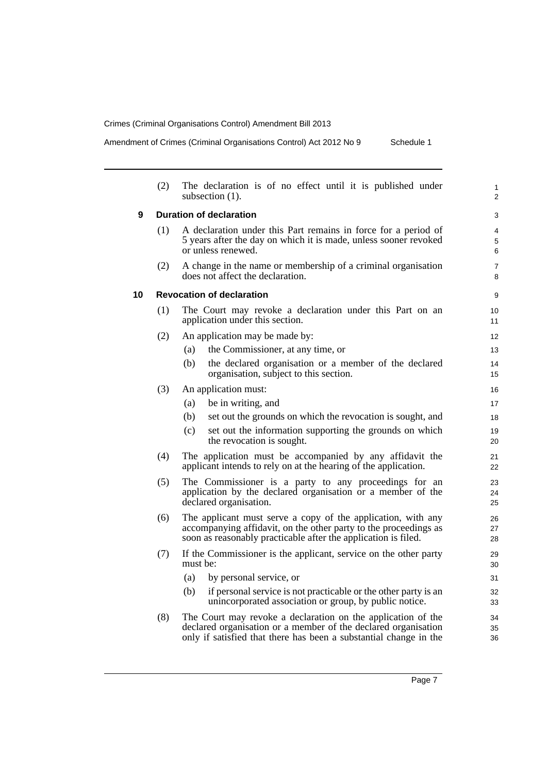Amendment of Crimes (Criminal Organisations Control) Act 2012 No 9 Schedule 1

|    | (2) | The declaration is of no effect until it is published under<br>subsection $(1)$ .                                                                                                                   | 1<br>$\overline{2}$ |
|----|-----|-----------------------------------------------------------------------------------------------------------------------------------------------------------------------------------------------------|---------------------|
| 9  |     | <b>Duration of declaration</b>                                                                                                                                                                      | 3                   |
|    | (1) | A declaration under this Part remains in force for a period of<br>5 years after the day on which it is made, unless sooner revoked<br>or unless renewed.                                            | 4<br>5<br>6         |
|    | (2) | A change in the name or membership of a criminal organisation<br>does not affect the declaration.                                                                                                   | 7<br>8              |
| 10 |     | <b>Revocation of declaration</b>                                                                                                                                                                    | 9                   |
|    | (1) | The Court may revoke a declaration under this Part on an<br>application under this section.                                                                                                         | 10<br>11            |
|    | (2) | An application may be made by:                                                                                                                                                                      | 12                  |
|    |     | the Commissioner, at any time, or<br>(a)                                                                                                                                                            | 13                  |
|    |     | (b)<br>the declared organisation or a member of the declared<br>organisation, subject to this section.                                                                                              | 14<br>15            |
|    | (3) | An application must:                                                                                                                                                                                | 16                  |
|    |     | (a)<br>be in writing, and                                                                                                                                                                           | 17                  |
|    |     | set out the grounds on which the revocation is sought, and<br>(b)                                                                                                                                   | 18                  |
|    |     | (c)<br>set out the information supporting the grounds on which<br>the revocation is sought.                                                                                                         | 19<br>20            |
|    | (4) | The application must be accompanied by any affidavit the<br>applicant intends to rely on at the hearing of the application.                                                                         | 21<br>22            |
|    | (5) | The Commissioner is a party to any proceedings for an<br>application by the declared organisation or a member of the<br>declared organisation.                                                      | 23<br>24<br>25      |
|    | (6) | The applicant must serve a copy of the application, with any<br>accompanying affidavit, on the other party to the proceedings as<br>soon as reasonably practicable after the application is filed.  | 26<br>27<br>28      |
|    | (7) | If the Commissioner is the applicant, service on the other party<br>must be:                                                                                                                        | 29<br>30            |
|    |     | (a)<br>by personal service, or                                                                                                                                                                      | 31                  |
|    |     | if personal service is not practicable or the other party is an<br>(b)<br>unincorporated association or group, by public notice.                                                                    | 32<br>33            |
|    | (8) | The Court may revoke a declaration on the application of the<br>declared organisation or a member of the declared organisation<br>only if satisfied that there has been a substantial change in the | 34<br>35<br>36      |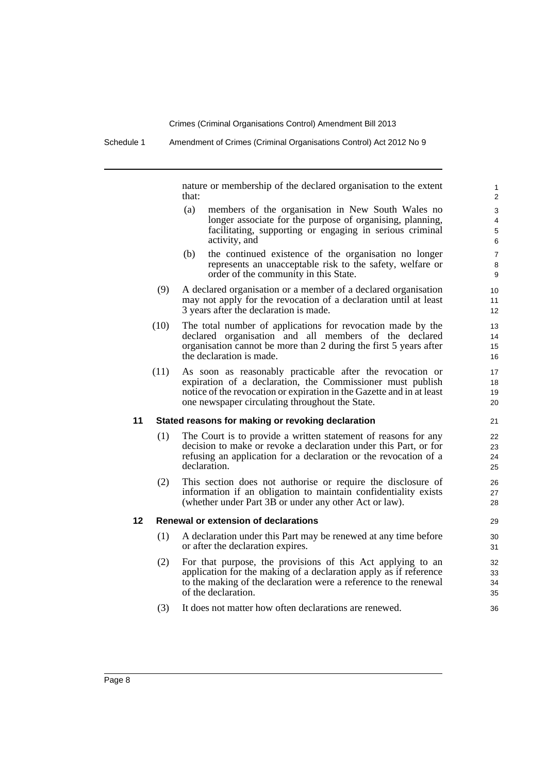nature or membership of the declared organisation to the extent that:

- (a) members of the organisation in New South Wales no longer associate for the purpose of organising, planning, facilitating, supporting or engaging in serious criminal activity, and
- (b) the continued existence of the organisation no longer represents an unacceptable risk to the safety, welfare or order of the community in this State.
- (9) A declared organisation or a member of a declared organisation may not apply for the revocation of a declaration until at least 3 years after the declaration is made.
- (10) The total number of applications for revocation made by the declared organisation and all members of the declared organisation cannot be more than 2 during the first 5 years after the declaration is made.
- (11) As soon as reasonably practicable after the revocation or expiration of a declaration, the Commissioner must publish notice of the revocation or expiration in the Gazette and in at least one newspaper circulating throughout the State.

## **11 Stated reasons for making or revoking declaration**

- (1) The Court is to provide a written statement of reasons for any decision to make or revoke a declaration under this Part, or for refusing an application for a declaration or the revocation of a declaration.
- (2) This section does not authorise or require the disclosure of information if an obligation to maintain confidentiality exists (whether under Part 3B or under any other Act or law).

#### **12 Renewal or extension of declarations**

- (1) A declaration under this Part may be renewed at any time before or after the declaration expires.
- (2) For that purpose, the provisions of this Act applying to an application for the making of a declaration apply as if reference to the making of the declaration were a reference to the renewal of the declaration.
- (3) It does not matter how often declarations are renewed.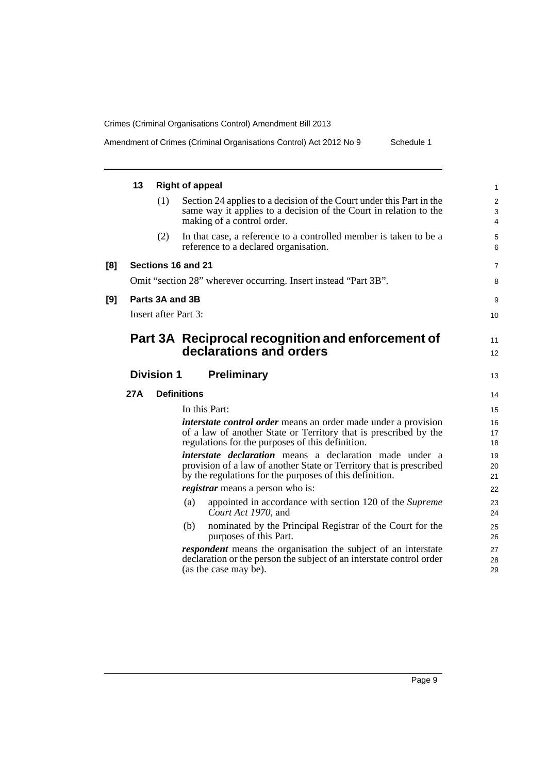|  |  | Amendment of Crimes (Criminal Organisations Control) Act 2012 No 9 | Schedule 1 |
|--|--|--------------------------------------------------------------------|------------|
|--|--|--------------------------------------------------------------------|------------|

|     | 13  |                      | <b>Right of appeal</b>                                                                                                                                                                           | $\mathbf{1}$   |
|-----|-----|----------------------|--------------------------------------------------------------------------------------------------------------------------------------------------------------------------------------------------|----------------|
|     |     | (1)                  | Section 24 applies to a decision of the Court under this Part in the<br>same way it applies to a decision of the Court in relation to the<br>making of a control order.                          | 2<br>3<br>4    |
|     |     | (2)                  | In that case, a reference to a controlled member is taken to be a<br>reference to a declared organisation.                                                                                       | 5<br>6         |
| [8] |     |                      | Sections 16 and 21                                                                                                                                                                               | $\overline{7}$ |
|     |     |                      | Omit "section 28" wherever occurring. Insert instead "Part 3B".                                                                                                                                  | 8              |
| [9] |     | Parts 3A and 3B      |                                                                                                                                                                                                  | 9              |
|     |     | Insert after Part 3: |                                                                                                                                                                                                  | 10             |
|     |     |                      | Part 3A Reciprocal recognition and enforcement of                                                                                                                                                | 11             |
|     |     |                      | declarations and orders                                                                                                                                                                          | 12             |
|     |     | <b>Division 1</b>    | <b>Preliminary</b>                                                                                                                                                                               | 13             |
|     | 27A |                      | <b>Definitions</b>                                                                                                                                                                               | 14             |
|     |     |                      | In this Part:                                                                                                                                                                                    | 15             |
|     |     |                      | <i>interstate control order</i> means an order made under a provision<br>of a law of another State or Territory that is prescribed by the<br>regulations for the purposes of this definition.    | 16<br>17<br>18 |
|     |     |                      | <i>interstate declaration</i> means a declaration made under a<br>provision of a law of another State or Territory that is prescribed<br>by the regulations for the purposes of this definition. | 19<br>20<br>21 |
|     |     |                      | <i>registrar</i> means a person who is:                                                                                                                                                          | 22             |
|     |     |                      | appointed in accordance with section 120 of the Supreme<br>(a)<br>Court Act 1970, and                                                                                                            | 23<br>24       |
|     |     |                      | nominated by the Principal Registrar of the Court for the<br>(b)<br>purposes of this Part.                                                                                                       | 25<br>26       |
|     |     |                      | <i>respondent</i> means the organisation the subject of an interstate<br>declaration or the person the subject of an interstate control order<br>(as the case may be).                           | 27<br>28<br>29 |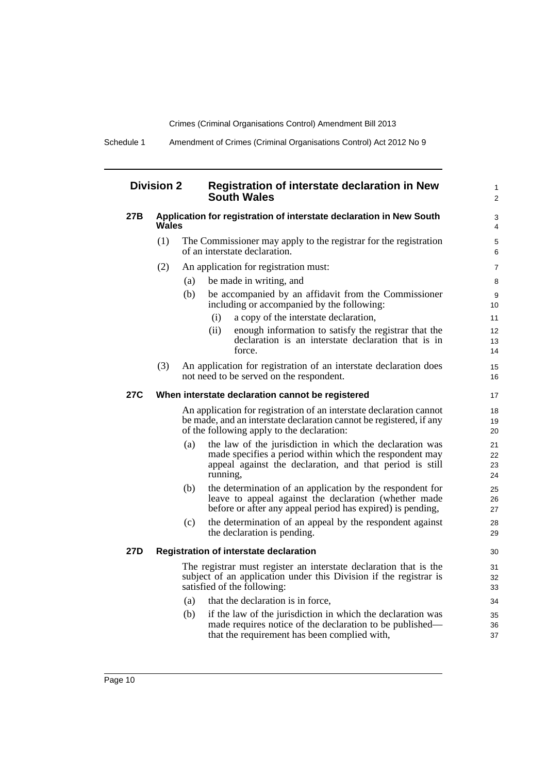Schedule 1 Amendment of Crimes (Criminal Organisations Control) Act 2012 No 9

# **Division 2 Registration of interstate declaration in New South Wales**

#### **27B Application for registration of interstate declaration in New South Wales**

- (1) The Commissioner may apply to the registrar for the registration of an interstate declaration.
- (2) An application for registration must:
	- (a) be made in writing, and
	- (b) be accompanied by an affidavit from the Commissioner including or accompanied by the following:
		- (i) a copy of the interstate declaration,
		- (ii) enough information to satisfy the registrar that the declaration is an interstate declaration that is in force.

1 2

(3) An application for registration of an interstate declaration does not need to be served on the respondent.

### **27C When interstate declaration cannot be registered**

An application for registration of an interstate declaration cannot be made, and an interstate declaration cannot be registered, if any of the following apply to the declaration:

- (a) the law of the jurisdiction in which the declaration was made specifies a period within which the respondent may appeal against the declaration, and that period is still running,
- (b) the determination of an application by the respondent for leave to appeal against the declaration (whether made before or after any appeal period has expired) is pending,
- (c) the determination of an appeal by the respondent against the declaration is pending.

### **27D Registration of interstate declaration**

The registrar must register an interstate declaration that is the subject of an application under this Division if the registrar is satisfied of the following:

- (a) that the declaration is in force,
- (b) if the law of the jurisdiction in which the declaration was made requires notice of the declaration to be published that the requirement has been complied with,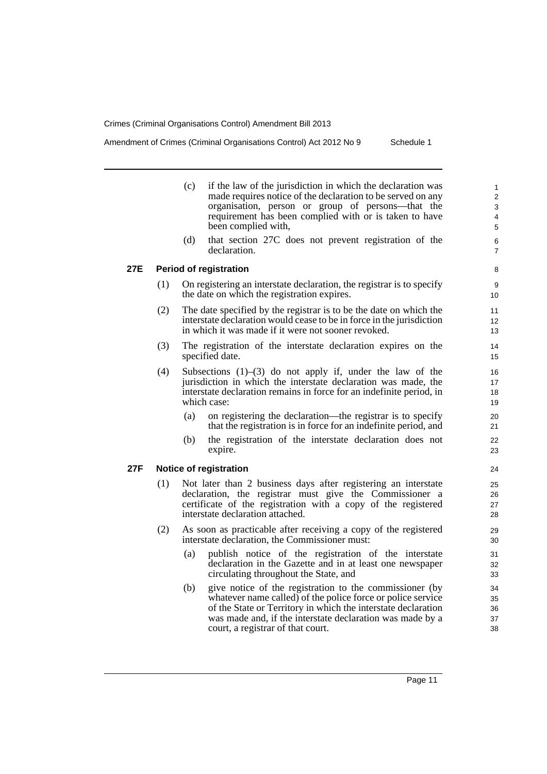Amendment of Crimes (Criminal Organisations Control) Act 2012 No 9 Schedule 1

- (c) if the law of the jurisdiction in which the declaration was made requires notice of the declaration to be served on any organisation, person or group of persons—that the requirement has been complied with or is taken to have been complied with,
- (d) that section 27C does not prevent registration of the declaration.

### **27E Period of registration**

- (1) On registering an interstate declaration, the registrar is to specify the date on which the registration expires.
- (2) The date specified by the registrar is to be the date on which the interstate declaration would cease to be in force in the jurisdiction in which it was made if it were not sooner revoked.
- (3) The registration of the interstate declaration expires on the specified date.
- (4) Subsections (1)–(3) do not apply if, under the law of the jurisdiction in which the interstate declaration was made, the interstate declaration remains in force for an indefinite period, in which case:
	- (a) on registering the declaration—the registrar is to specify that the registration is in force for an indefinite period, and
	- (b) the registration of the interstate declaration does not expire.

## **27F Notice of registration**

- (1) Not later than 2 business days after registering an interstate declaration, the registrar must give the Commissioner a certificate of the registration with a copy of the registered interstate declaration attached.
- (2) As soon as practicable after receiving a copy of the registered interstate declaration, the Commissioner must:
	- (a) publish notice of the registration of the interstate declaration in the Gazette and in at least one newspaper circulating throughout the State, and
	- (b) give notice of the registration to the commissioner (by whatever name called) of the police force or police service of the State or Territory in which the interstate declaration was made and, if the interstate declaration was made by a court, a registrar of that court.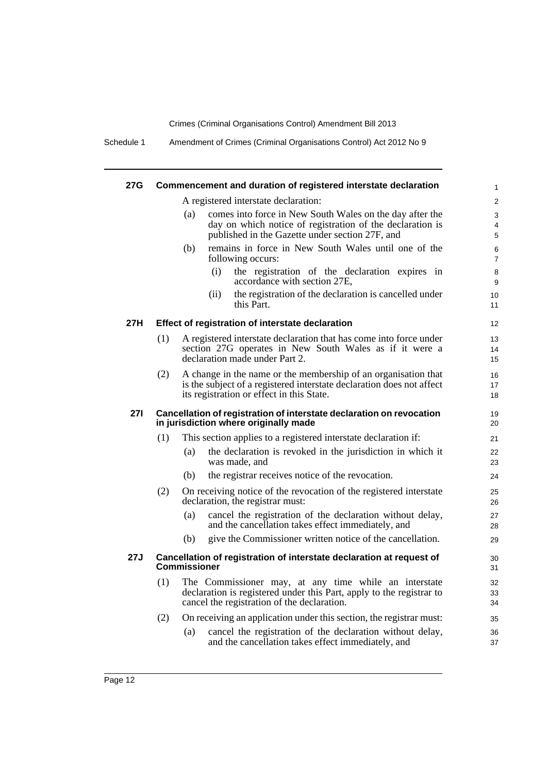| 27G        | Commencement and duration of registered interstate declaration |                                                                                                                                                                                      |                     |  |  |  |  |
|------------|----------------------------------------------------------------|--------------------------------------------------------------------------------------------------------------------------------------------------------------------------------------|---------------------|--|--|--|--|
|            |                                                                | A registered interstate declaration:                                                                                                                                                 | $\overline{2}$      |  |  |  |  |
|            |                                                                | comes into force in New South Wales on the day after the<br>(a)                                                                                                                      | 3                   |  |  |  |  |
|            |                                                                | day on which notice of registration of the declaration is<br>published in the Gazette under section 27F, and                                                                         | 4<br>5              |  |  |  |  |
|            |                                                                | remains in force in New South Wales until one of the<br>(b)<br>following occurs:                                                                                                     | 6<br>$\overline{7}$ |  |  |  |  |
|            |                                                                | the registration of the declaration expires in<br>(i)<br>accordance with section 27E,                                                                                                | 8<br>9              |  |  |  |  |
|            |                                                                | the registration of the declaration is cancelled under<br>(ii)<br>this Part.                                                                                                         | 10<br>11            |  |  |  |  |
| 27H        |                                                                | Effect of registration of interstate declaration                                                                                                                                     | $12 \overline{ }$   |  |  |  |  |
|            | (1)                                                            | A registered interstate declaration that has come into force under<br>section 27G operates in New South Wales as if it were a<br>declaration made under Part 2.                      | 13<br>14<br>15      |  |  |  |  |
|            | (2)                                                            | A change in the name or the membership of an organisation that<br>is the subject of a registered interstate declaration does not affect<br>its registration or effect in this State. | 16<br>17<br>18      |  |  |  |  |
| <b>271</b> |                                                                | Cancellation of registration of interstate declaration on revocation<br>in jurisdiction where originally made                                                                        | 19<br>20            |  |  |  |  |
|            | (1)                                                            | This section applies to a registered interstate declaration if:                                                                                                                      | 21                  |  |  |  |  |
|            |                                                                | the declaration is revoked in the jurisdiction in which it<br>(a)<br>was made, and                                                                                                   | 22<br>23            |  |  |  |  |
|            |                                                                | (b)<br>the registrar receives notice of the revocation.                                                                                                                              | 24                  |  |  |  |  |
|            | (2)                                                            | On receiving notice of the revocation of the registered interstate<br>declaration, the registrar must:                                                                               | 25<br>26            |  |  |  |  |
|            |                                                                | cancel the registration of the declaration without delay,<br>(a)<br>and the cancellation takes effect immediately, and                                                               | 27<br>28            |  |  |  |  |
|            |                                                                | give the Commissioner written notice of the cancellation.<br>(b)                                                                                                                     | 29                  |  |  |  |  |
| 27J        |                                                                | Cancellation of registration of interstate declaration at request of<br><b>Commissioner</b>                                                                                          | 30<br>31            |  |  |  |  |
|            | (1)                                                            | The Commissioner may, at any time while an interstate<br>declaration is registered under this Part, apply to the registrar to<br>cancel the registration of the declaration.         | 32<br>33<br>34      |  |  |  |  |
|            | (2)                                                            | On receiving an application under this section, the registrar must:                                                                                                                  | 35                  |  |  |  |  |
|            |                                                                | cancel the registration of the declaration without delay,<br>(a)<br>and the cancellation takes effect immediately, and                                                               | 36<br>37            |  |  |  |  |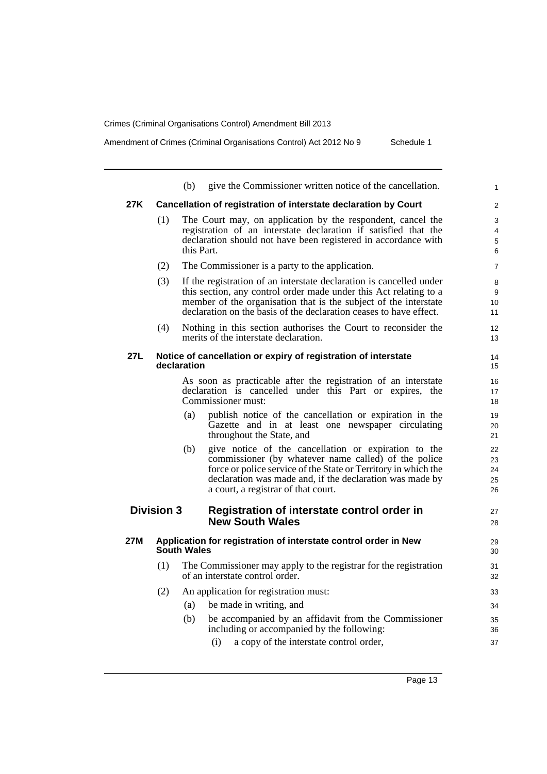Amendment of Crimes (Criminal Organisations Control) Act 2012 No 9 Schedule 1

|     |                                                                                                                                                  | (b)         | give the Commissioner written notice of the cancellation.                                                                                                                                                                                                                          | 1                          |  |
|-----|--------------------------------------------------------------------------------------------------------------------------------------------------|-------------|------------------------------------------------------------------------------------------------------------------------------------------------------------------------------------------------------------------------------------------------------------------------------------|----------------------------|--|
| 27K |                                                                                                                                                  |             | Cancellation of registration of interstate declaration by Court                                                                                                                                                                                                                    | $\overline{2}$             |  |
|     | (1)                                                                                                                                              | this Part.  | The Court may, on application by the respondent, cancel the<br>registration of an interstate declaration if satisfied that the<br>declaration should not have been registered in accordance with                                                                                   | 3<br>4<br>5<br>6           |  |
|     | (2)                                                                                                                                              |             | The Commissioner is a party to the application.                                                                                                                                                                                                                                    | $\overline{7}$             |  |
|     | (3)                                                                                                                                              |             | If the registration of an interstate declaration is cancelled under<br>this section, any control order made under this Act relating to a<br>member of the organisation that is the subject of the interstate<br>declaration on the basis of the declaration ceases to have effect. | 8<br>9<br>10<br>11         |  |
|     | (4)                                                                                                                                              |             | Nothing in this section authorises the Court to reconsider the<br>merits of the interstate declaration.                                                                                                                                                                            | 12<br>13                   |  |
| 27L |                                                                                                                                                  | declaration | Notice of cancellation or expiry of registration of interstate                                                                                                                                                                                                                     | 14<br>15                   |  |
|     | As soon as practicable after the registration of an interstate<br>declaration is cancelled under this Part or expires, the<br>Commissioner must: |             |                                                                                                                                                                                                                                                                                    |                            |  |
|     |                                                                                                                                                  | (a)         | publish notice of the cancellation or expiration in the<br>Gazette and in at least one newspaper circulating<br>throughout the State, and                                                                                                                                          | 19<br>20<br>21             |  |
|     |                                                                                                                                                  | (b)         | give notice of the cancellation or expiration to the<br>commissioner (by whatever name called) of the police<br>force or police service of the State or Territory in which the<br>declaration was made and, if the declaration was made by<br>a court, a registrar of that court.  | 22<br>23<br>24<br>25<br>26 |  |
|     | <b>Division 3</b>                                                                                                                                |             | Registration of interstate control order in<br><b>New South Wales</b>                                                                                                                                                                                                              | 27<br>28                   |  |
| 27M |                                                                                                                                                  | South Wales | Application for registration of interstate control order in New                                                                                                                                                                                                                    | 29<br>30                   |  |
|     | (1)                                                                                                                                              |             | The Commissioner may apply to the registrar for the registration<br>of an interstate control order.                                                                                                                                                                                | 31<br>32                   |  |
|     | (2)                                                                                                                                              |             | An application for registration must:                                                                                                                                                                                                                                              | 33                         |  |
|     |                                                                                                                                                  | (a)         | be made in writing, and                                                                                                                                                                                                                                                            | 34                         |  |
|     |                                                                                                                                                  | (b)         | be accompanied by an affidavit from the Commissioner<br>including or accompanied by the following:                                                                                                                                                                                 | 35<br>36                   |  |
|     |                                                                                                                                                  |             | (i)<br>a copy of the interstate control order,                                                                                                                                                                                                                                     | 37                         |  |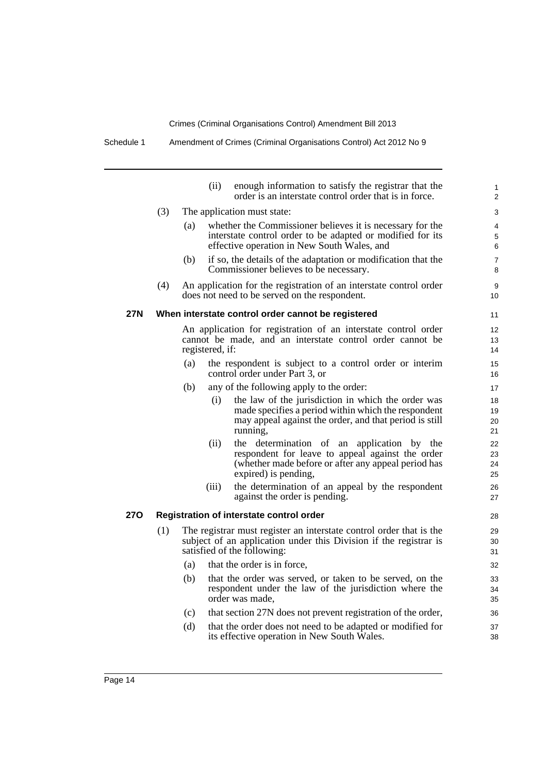|            |     |     | (ii)            | enough information to satisfy the registrar that the<br>order is an interstate control order that is in force.                                                         | 1<br>2              |
|------------|-----|-----|-----------------|------------------------------------------------------------------------------------------------------------------------------------------------------------------------|---------------------|
|            | (3) |     |                 | The application must state:                                                                                                                                            | 3                   |
|            |     | (a) |                 | whether the Commissioner believes it is necessary for the<br>interstate control order to be adapted or modified for its<br>effective operation in New South Wales, and | 4<br>5<br>6         |
|            |     | (b) |                 | if so, the details of the adaptation or modification that the<br>Commissioner believes to be necessary.                                                                | $\overline{7}$<br>8 |
|            | (4) |     |                 | An application for the registration of an interstate control order<br>does not need to be served on the respondent.                                                    | 9<br>10             |
| <b>27N</b> |     |     |                 | When interstate control order cannot be registered                                                                                                                     | 11                  |
|            |     |     | registered, if: | An application for registration of an interstate control order<br>cannot be made, and an interstate control order cannot be                                            | 12<br>13<br>14      |
|            |     | (a) |                 | the respondent is subject to a control order or interim<br>control order under Part 3, or                                                                              | 15<br>16            |
|            |     | (b) |                 | any of the following apply to the order:                                                                                                                               | 17                  |
|            |     |     | (i)             | the law of the jurisdiction in which the order was                                                                                                                     | 18                  |
|            |     |     |                 | made specifies a period within which the respondent<br>may appeal against the order, and that period is still                                                          | 19<br>20            |
|            |     |     |                 | running,                                                                                                                                                               | 21                  |
|            |     |     | (ii)            | the determination of an<br>application by the                                                                                                                          | 22                  |
|            |     |     |                 | respondent for leave to appeal against the order                                                                                                                       | 23                  |
|            |     |     |                 | (whether made before or after any appeal period has<br>expired) is pending,                                                                                            | 24<br>25            |
|            |     |     | (iii)           | the determination of an appeal by the respondent                                                                                                                       | 26                  |
|            |     |     |                 | against the order is pending.                                                                                                                                          | 27                  |
| 27O        |     |     |                 | Registration of interstate control order                                                                                                                               | 28                  |
|            | (1) |     |                 | The registrar must register an interstate control order that is the                                                                                                    | 29                  |
|            |     |     |                 | subject of an application under this Division if the registrar is                                                                                                      | 30                  |
|            |     |     |                 | satisfied of the following:                                                                                                                                            | 31                  |
|            |     | (a) |                 | that the order is in force,                                                                                                                                            | 32                  |
|            |     | (b) |                 | that the order was served, or taken to be served, on the<br>respondent under the law of the jurisdiction where the<br>order was made.                                  | 33<br>34<br>35      |
|            |     | (c) |                 | that section 27N does not prevent registration of the order,                                                                                                           | 36                  |
|            |     | (d) |                 | that the order does not need to be adapted or modified for                                                                                                             | 37                  |
|            |     |     |                 | its effective operation in New South Wales.                                                                                                                            | 38                  |
|            |     |     |                 |                                                                                                                                                                        |                     |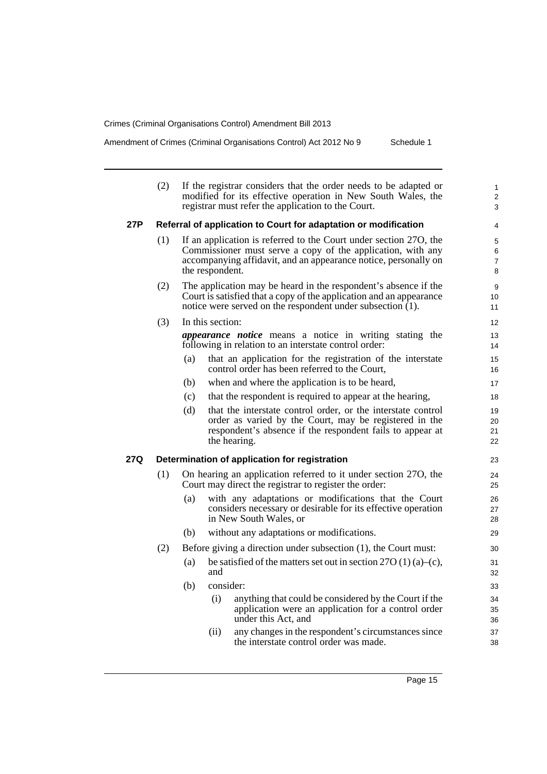l,

Amendment of Crimes (Criminal Organisations Control) Act 2012 No 9 Schedule 1

|     | (2)                                                             |     |                  | If the registrar considers that the order needs to be adapted or<br>modified for its effective operation in New South Wales, the<br>registrar must refer the application to the Court.               | $\mathbf{1}$<br>2<br>3        |
|-----|-----------------------------------------------------------------|-----|------------------|------------------------------------------------------------------------------------------------------------------------------------------------------------------------------------------------------|-------------------------------|
| 27P | Referral of application to Court for adaptation or modification | 4   |                  |                                                                                                                                                                                                      |                               |
|     | (1)                                                             |     | the respondent.  | If an application is referred to the Court under section 270, the<br>Commissioner must serve a copy of the application, with any<br>accompanying affidavit, and an appearance notice, personally on  | 5<br>6<br>$\overline{7}$<br>8 |
|     | (2)                                                             |     |                  | The application may be heard in the respondent's absence if the<br>Court is satisfied that a copy of the application and an appearance<br>notice were served on the respondent under subsection (1). | 9<br>10<br>11                 |
|     | (3)                                                             |     | In this section: |                                                                                                                                                                                                      | 12                            |
|     |                                                                 |     |                  | <i>appearance notice</i> means a notice in writing stating the<br>following in relation to an interstate control order:                                                                              | 13<br>14                      |
|     |                                                                 | (a) |                  | that an application for the registration of the interstate<br>control order has been referred to the Court,                                                                                          | 15<br>16                      |
|     |                                                                 | (b) |                  | when and where the application is to be heard,                                                                                                                                                       | 17                            |
|     |                                                                 | (c) |                  | that the respondent is required to appear at the hearing,                                                                                                                                            | 18                            |
|     |                                                                 | (d) |                  | that the interstate control order, or the interstate control<br>order as varied by the Court, may be registered in the<br>respondent's absence if the respondent fails to appear at<br>the hearing.  | 19<br>20<br>21<br>22          |
| 27Q |                                                                 |     |                  | Determination of application for registration                                                                                                                                                        | 23                            |
|     | (1)                                                             |     |                  | On hearing an application referred to it under section 270, the<br>Court may direct the registrar to register the order:                                                                             | 24<br>25                      |
|     |                                                                 | (a) |                  | with any adaptations or modifications that the Court<br>considers necessary or desirable for its effective operation<br>in New South Wales, or                                                       | 26<br>27<br>28                |
|     |                                                                 | (b) |                  | without any adaptations or modifications.                                                                                                                                                            | 29                            |
|     | (2)                                                             |     |                  | Before giving a direction under subsection (1), the Court must:                                                                                                                                      | 30                            |
|     |                                                                 | (a) | and              | be satisfied of the matters set out in section $27O(1)(a)-(c)$ ,                                                                                                                                     | 31<br>32                      |
|     |                                                                 | (b) | consider:        |                                                                                                                                                                                                      | 33                            |
|     |                                                                 |     | (i)              | anything that could be considered by the Court if the<br>application were an application for a control order<br>under this Act, and                                                                  | 34<br>35<br>36                |
|     |                                                                 |     | (ii)             | any changes in the respondent's circumstances since<br>the interstate control order was made.                                                                                                        | 37<br>38                      |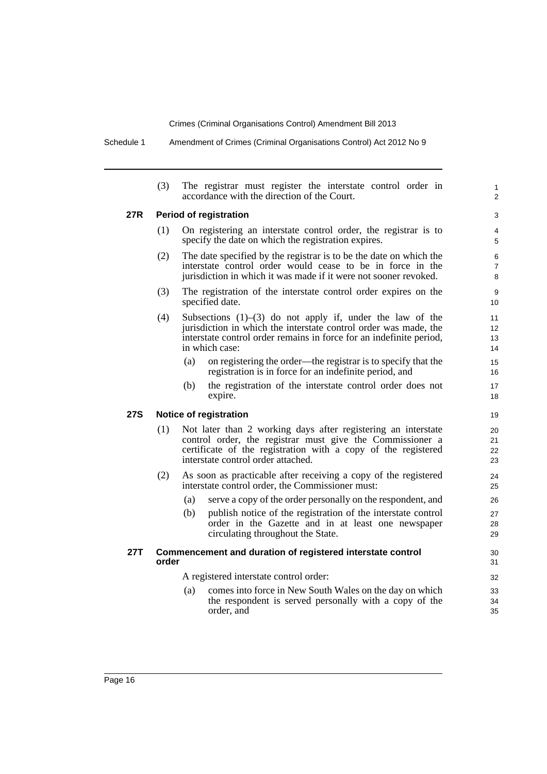|            | (3)   | The registrar must register the interstate control order in<br>accordance with the direction of the Court.                                                                                                                        | 1<br>$\overline{2}$               |
|------------|-------|-----------------------------------------------------------------------------------------------------------------------------------------------------------------------------------------------------------------------------------|-----------------------------------|
| 27R        |       | <b>Period of registration</b>                                                                                                                                                                                                     | 3                                 |
|            | (1)   | On registering an interstate control order, the registrar is to<br>specify the date on which the registration expires.                                                                                                            | 4<br>5                            |
|            | (2)   | The date specified by the registrar is to be the date on which the<br>interstate control order would cease to be in force in the<br>jurisdiction in which it was made if it were not sooner revoked.                              | 6<br>$\overline{7}$<br>8          |
|            | (3)   | The registration of the interstate control order expires on the<br>specified date.                                                                                                                                                | 9<br>10 <sup>°</sup>              |
|            | (4)   | Subsections $(1)$ – $(3)$ do not apply if, under the law of the<br>jurisdiction in which the interstate control order was made, the<br>interstate control order remains in force for an indefinite period,<br>in which case:      | 11<br>12 <sup>2</sup><br>13<br>14 |
|            |       | on registering the order—the registrar is to specify that the<br>(a)<br>registration is in force for an indefinite period, and                                                                                                    | 15<br>16                          |
|            |       | (b)<br>the registration of the interstate control order does not<br>expire.                                                                                                                                                       | 17<br>18                          |
| <b>27S</b> |       | <b>Notice of registration</b>                                                                                                                                                                                                     | 19                                |
|            | (1)   | Not later than 2 working days after registering an interstate<br>control order, the registrar must give the Commissioner a<br>certificate of the registration with a copy of the registered<br>interstate control order attached. | 20<br>21<br>22<br>23              |
|            | (2)   | As soon as practicable after receiving a copy of the registered<br>interstate control order, the Commissioner must:                                                                                                               | 24<br>25                          |
|            |       | serve a copy of the order personally on the respondent, and<br>(a)                                                                                                                                                                | 26                                |
|            |       | publish notice of the registration of the interstate control<br>(b)<br>order in the Gazette and in at least one newspaper<br>circulating throughout the State.                                                                    | 27<br>28<br>29                    |
| 27T        | order | Commencement and duration of registered interstate control                                                                                                                                                                        | 30<br>31                          |
|            |       | A registered interstate control order:                                                                                                                                                                                            | 32                                |
|            |       | comes into force in New South Wales on the day on which<br>(a)<br>the respondent is served personally with a copy of the<br>order, and                                                                                            | 33<br>34<br>35                    |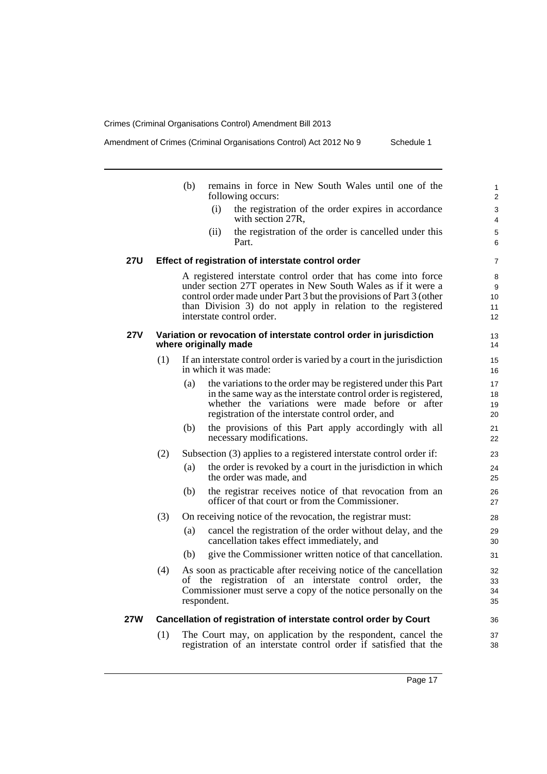Amendment of Crimes (Criminal Organisations Control) Act 2012 No 9 Schedule 1

|            |     | (b)<br>remains in force in New South Wales until one of the<br>following occurs:                                                                                                                                                                                                                   | 1<br>2                   |
|------------|-----|----------------------------------------------------------------------------------------------------------------------------------------------------------------------------------------------------------------------------------------------------------------------------------------------------|--------------------------|
|            |     | the registration of the order expires in accordance<br>(i)<br>with section 27R.                                                                                                                                                                                                                    | 3<br>4                   |
|            |     | the registration of the order is cancelled under this<br>(ii)<br>Part.                                                                                                                                                                                                                             | 5<br>6                   |
| <b>27U</b> |     | Effect of registration of interstate control order                                                                                                                                                                                                                                                 | $\overline{7}$           |
|            |     | A registered interstate control order that has come into force<br>under section 27T operates in New South Wales as if it were a<br>control order made under Part 3 but the provisions of Part 3 (other<br>than Division 3) do not apply in relation to the registered<br>interstate control order. | 8<br>9<br>10<br>11<br>12 |
| 27V        |     | Variation or revocation of interstate control order in jurisdiction<br>where originally made                                                                                                                                                                                                       | 13<br>14                 |
|            | (1) | If an interstate control order is varied by a court in the jurisdiction<br>in which it was made:                                                                                                                                                                                                   | 15<br>16                 |
|            |     | the variations to the order may be registered under this Part<br>(a)<br>in the same way as the interstate control order is registered,<br>whether the variations were made before or after<br>registration of the interstate control order, and                                                    | 17<br>18<br>19<br>20     |
|            |     | the provisions of this Part apply accordingly with all<br>(b)<br>necessary modifications.                                                                                                                                                                                                          | 21<br>22                 |
|            | (2) | Subsection (3) applies to a registered interstate control order if:                                                                                                                                                                                                                                | 23                       |
|            |     | the order is revoked by a court in the jurisdiction in which<br>(a)<br>the order was made, and                                                                                                                                                                                                     | 24<br>25                 |
|            |     | the registrar receives notice of that revocation from an<br>(b)<br>officer of that court or from the Commissioner.                                                                                                                                                                                 | 26<br>27                 |
|            | (3) | On receiving notice of the revocation, the registrar must:                                                                                                                                                                                                                                         | 28                       |
|            |     | cancel the registration of the order without delay, and the<br>(a)<br>cancellation takes effect immediately, and                                                                                                                                                                                   | 29<br>30                 |
|            |     | give the Commissioner written notice of that cancellation.<br>(b)                                                                                                                                                                                                                                  | 31                       |
|            | (4) | As soon as practicable after receiving notice of the cancellation<br>of the registration of an interstate control order, the<br>Commissioner must serve a copy of the notice personally on the<br>respondent.                                                                                      | 32<br>33<br>34<br>35     |
| 27W        |     | Cancellation of registration of interstate control order by Court                                                                                                                                                                                                                                  | 36                       |
|            | (1) | The Court may, on application by the respondent, cancel the                                                                                                                                                                                                                                        | 37                       |

registration of an interstate control order if satisfied that the

38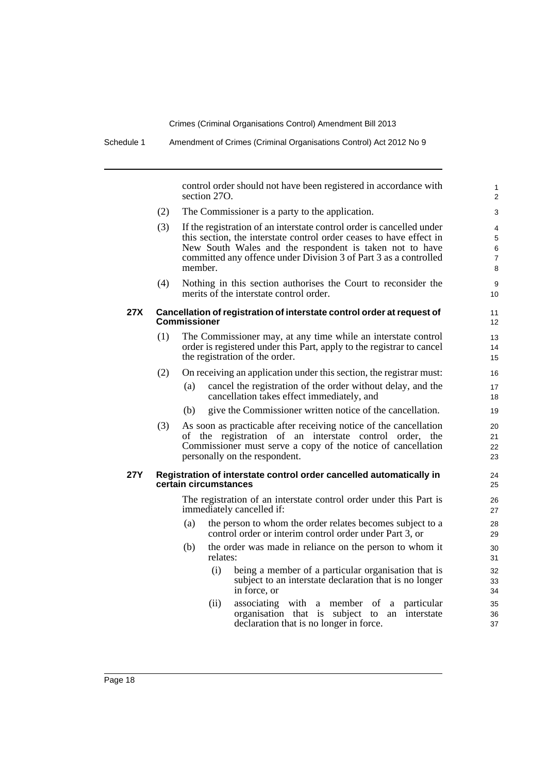control order should not have been registered in accordance with section 27O.

- (2) The Commissioner is a party to the application.
- (3) If the registration of an interstate control order is cancelled under this section, the interstate control order ceases to have effect in New South Wales and the respondent is taken not to have committed any offence under Division 3 of Part 3 as a controlled member.
- (4) Nothing in this section authorises the Court to reconsider the merits of the interstate control order.

## **27X Cancellation of registration of interstate control order at request of Commissioner**

(1) The Commissioner may, at any time while an interstate control order is registered under this Part, apply to the registrar to cancel the registration of the order.

## (2) On receiving an application under this section, the registrar must:

- (a) cancel the registration of the order without delay, and the cancellation takes effect immediately, and
- (b) give the Commissioner written notice of the cancellation.
- (3) As soon as practicable after receiving notice of the cancellation of the registration of an interstate control order, the Commissioner must serve a copy of the notice of cancellation personally on the respondent.

#### **27Y Registration of interstate control order cancelled automatically in certain circumstances**

The registration of an interstate control order under this Part is immediately cancelled if:

- (a) the person to whom the order relates becomes subject to a control order or interim control order under Part 3, or
- (b) the order was made in reliance on the person to whom it relates:
	- (i) being a member of a particular organisation that is subject to an interstate declaration that is no longer in force, or
	- (ii) associating with a member of a particular organisation that is subject to an interstate declaration that is no longer in force.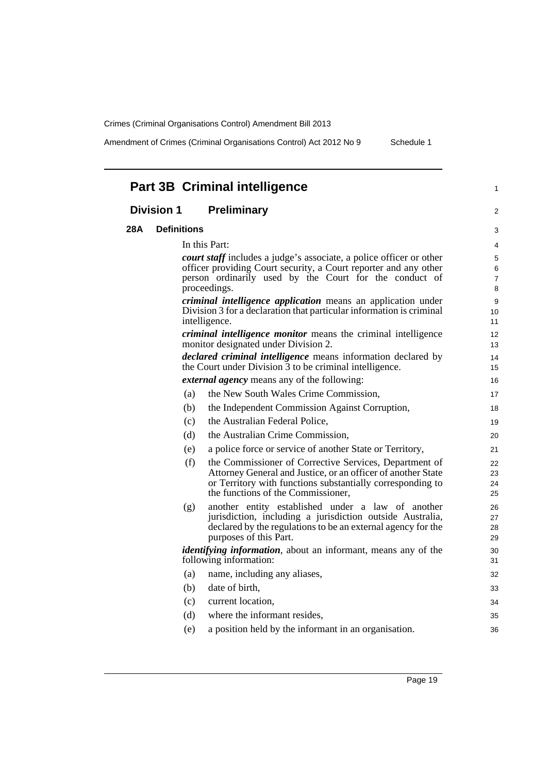Amendment of Crimes (Criminal Organisations Control) Act 2012 No 9 Schedule 1

|     |                    | <b>Part 3B Criminal intelligence</b>                                                                                       |                |
|-----|--------------------|----------------------------------------------------------------------------------------------------------------------------|----------------|
|     | <b>Division 1</b>  | <b>Preliminary</b>                                                                                                         |                |
| 28A | <b>Definitions</b> |                                                                                                                            |                |
|     |                    | In this Part:                                                                                                              |                |
|     |                    | court staff includes a judge's associate, a police officer or other                                                        |                |
|     |                    | officer providing Court security, a Court reporter and any other<br>person ordinarily used by the Court for the conduct of |                |
|     |                    | proceedings.                                                                                                               | $\overline{7}$ |
|     |                    | criminal intelligence application means an application under                                                               |                |
|     |                    | Division 3 for a declaration that particular information is criminal                                                       | 10             |
|     |                    | intelligence.                                                                                                              | 11             |
|     |                    | criminal intelligence monitor means the criminal intelligence<br>monitor designated under Division 2.                      | 12<br>13       |
|     |                    | <i>declared criminal intelligence</i> means information declared by                                                        | 14             |
|     |                    | the Court under Division 3 to be criminal intelligence.                                                                    | 15             |
|     |                    | <i>external agency</i> means any of the following:                                                                         | 16             |
|     | (a)                | the New South Wales Crime Commission,                                                                                      | 17             |
|     | (b)                | the Independent Commission Against Corruption,                                                                             | 18             |
|     | (c)                | the Australian Federal Police,                                                                                             | 19             |
|     | (d)                | the Australian Crime Commission,                                                                                           | 20             |
|     | (e)                | a police force or service of another State or Territory,                                                                   | 21             |
|     | (f)                | the Commissioner of Corrective Services, Department of                                                                     | 22             |
|     |                    | Attorney General and Justice, or an officer of another State                                                               | 23             |
|     |                    | or Territory with functions substantially corresponding to<br>the functions of the Commissioner,                           | 24<br>25       |
|     | (g)                | another entity established under a law of another                                                                          | 26             |
|     |                    | jurisdiction, including a jurisdiction outside Australia,                                                                  | 27             |
|     |                    | declared by the regulations to be an external agency for the                                                               | 28             |
|     |                    | purposes of this Part.                                                                                                     | 29             |
|     |                    | <i>identifying information</i> , about an informant, means any of the<br>following information:                            | 30<br>31       |
|     | (a)                | name, including any aliases,                                                                                               | 32             |
|     | (b)                | date of birth,                                                                                                             | 33             |
|     | (c)                | current location,                                                                                                          | 34             |
|     | (d)                | where the informant resides,                                                                                               | 35             |
|     | (e)                | a position held by the informant in an organisation.                                                                       | 36             |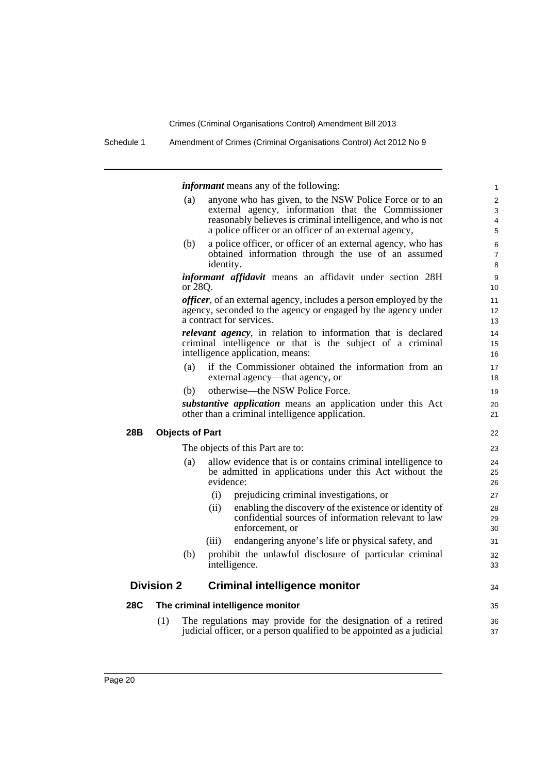*informant* means any of the following:

|     |                   |                        | <i>informant</i> means any of the following:                                                                                                                                                                                          | $\mathbf{1}$                               |
|-----|-------------------|------------------------|---------------------------------------------------------------------------------------------------------------------------------------------------------------------------------------------------------------------------------------|--------------------------------------------|
|     |                   | (a)                    | anyone who has given, to the NSW Police Force or to an<br>external agency, information that the Commissioner<br>reasonably believes is criminal intelligence, and who is not<br>a police officer or an officer of an external agency, | $\overline{c}$<br>3<br>$\overline{4}$<br>5 |
|     |                   | (b)                    | a police officer, or officer of an external agency, who has<br>obtained information through the use of an assumed<br>identity.                                                                                                        | 6<br>$\overline{7}$<br>8                   |
|     |                   | or 280.                | informant affidavit means an affidavit under section 28H                                                                                                                                                                              | 9<br>10                                    |
|     |                   |                        | <i>officer</i> , of an external agency, includes a person employed by the<br>agency, seconded to the agency or engaged by the agency under<br>a contract for services.                                                                | 11<br>12<br>13                             |
|     |                   |                        | <i>relevant agency</i> , in relation to information that is declared<br>criminal intelligence or that is the subject of a criminal<br>intelligence application, means:                                                                | 14<br>15<br>16                             |
|     |                   | (a)                    | if the Commissioner obtained the information from an<br>external agency—that agency, or                                                                                                                                               | 17<br>18                                   |
|     |                   | (b)                    | otherwise—the NSW Police Force.                                                                                                                                                                                                       | 19                                         |
|     |                   |                        | substantive application means an application under this Act<br>other than a criminal intelligence application.                                                                                                                        | 20<br>21                                   |
| 28B |                   | <b>Objects of Part</b> |                                                                                                                                                                                                                                       | 22                                         |
|     |                   |                        | The objects of this Part are to:                                                                                                                                                                                                      | 23                                         |
|     |                   | (a)                    | allow evidence that is or contains criminal intelligence to<br>be admitted in applications under this Act without the<br>evidence:                                                                                                    | 24<br>25<br>26                             |
|     |                   |                        | (i)<br>prejudicing criminal investigations, or                                                                                                                                                                                        | 27                                         |
|     |                   |                        | (ii)<br>enabling the discovery of the existence or identity of<br>confidential sources of information relevant to law<br>enforcement, or                                                                                              | 28<br>29<br>30                             |
|     |                   |                        | (iii)<br>endangering anyone's life or physical safety, and                                                                                                                                                                            | 31                                         |
|     |                   | (b)                    | prohibit the unlawful disclosure of particular criminal<br>intelligence.                                                                                                                                                              | 32<br>33                                   |
|     | <b>Division 2</b> |                        | <b>Criminal intelligence monitor</b>                                                                                                                                                                                                  | 34                                         |
| 28C |                   |                        | The criminal intelligence monitor                                                                                                                                                                                                     | 35                                         |
|     | (1)               |                        | The regulations may provide for the designation of a retired<br>judicial officer, or a person qualified to be appointed as a judicial                                                                                                 | 36<br>37                                   |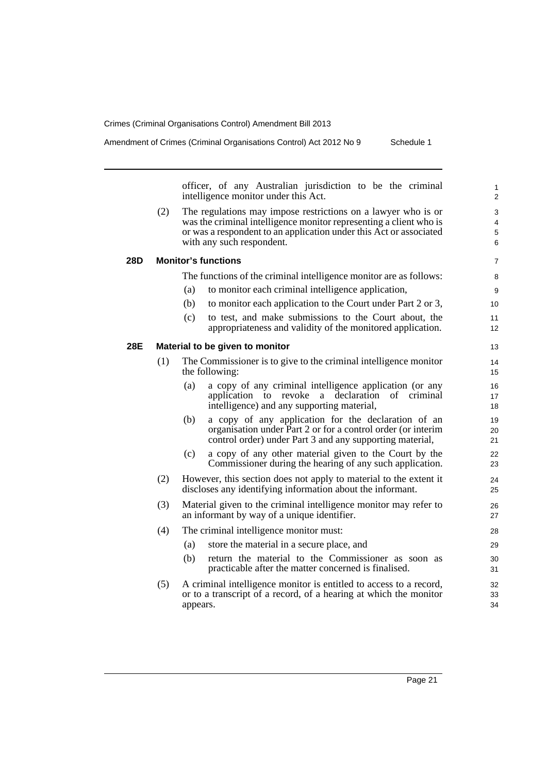Amendment of Crimes (Criminal Organisations Control) Act 2012 No 9 Schedule 1

officer, of any Australian jurisdiction to be the criminal intelligence monitor under this Act.

(2) The regulations may impose restrictions on a lawyer who is or was the criminal intelligence monitor representing a client who is or was a respondent to an application under this Act or associated with any such respondent.

## **28D Monitor's functions**

The functions of the criminal intelligence monitor are as follows:

- (a) to monitor each criminal intelligence application,
- (b) to monitor each application to the Court under Part 2 or 3,
- (c) to test, and make submissions to the Court about, the appropriateness and validity of the monitored application.

## **28E Material to be given to monitor**

- (1) The Commissioner is to give to the criminal intelligence monitor the following:
	- (a) a copy of any criminal intelligence application (or any application to revoke a declaration of criminal intelligence) and any supporting material,
	- (b) a copy of any application for the declaration of an organisation under Part 2 or for a control order (or interim control order) under Part 3 and any supporting material,
	- (c) a copy of any other material given to the Court by the Commissioner during the hearing of any such application.
- (2) However, this section does not apply to material to the extent it discloses any identifying information about the informant.
- (3) Material given to the criminal intelligence monitor may refer to an informant by way of a unique identifier.
- (4) The criminal intelligence monitor must:
	- (a) store the material in a secure place, and
	- (b) return the material to the Commissioner as soon as practicable after the matter concerned is finalised.
- (5) A criminal intelligence monitor is entitled to access to a record, or to a transcript of a record, of a hearing at which the monitor appears.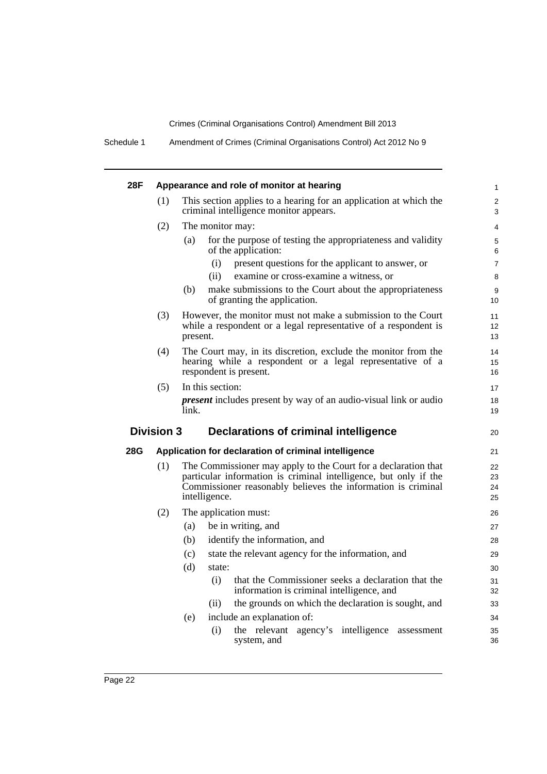| 28F |                   | Appearance and role of monitor at hearing                                                                                                                                                          | $\mathbf{1}$               |  |  |  |  |  |
|-----|-------------------|----------------------------------------------------------------------------------------------------------------------------------------------------------------------------------------------------|----------------------------|--|--|--|--|--|
|     | (1)               | This section applies to a hearing for an application at which the<br>criminal intelligence monitor appears.                                                                                        | 2<br>3                     |  |  |  |  |  |
|     | (2)               | The monitor may:                                                                                                                                                                                   | $\overline{4}$             |  |  |  |  |  |
|     |                   | for the purpose of testing the appropriateness and validity<br>(a)<br>of the application:                                                                                                          | 5<br>6                     |  |  |  |  |  |
|     |                   | (i)<br>present questions for the applicant to answer, or                                                                                                                                           | $\overline{7}$             |  |  |  |  |  |
|     |                   | (ii)<br>examine or cross-examine a witness, or                                                                                                                                                     | 8                          |  |  |  |  |  |
|     |                   | make submissions to the Court about the appropriateness<br>(b)<br>of granting the application.                                                                                                     | 9<br>10                    |  |  |  |  |  |
|     | (3)               | However, the monitor must not make a submission to the Court<br>while a respondent or a legal representative of a respondent is                                                                    | 11<br>12                   |  |  |  |  |  |
|     |                   | present.                                                                                                                                                                                           | 13                         |  |  |  |  |  |
|     | (4)               | The Court may, in its discretion, exclude the monitor from the<br>hearing while a respondent or a legal representative of a                                                                        | 14<br>15                   |  |  |  |  |  |
|     |                   | respondent is present.                                                                                                                                                                             | 16                         |  |  |  |  |  |
|     | (5)               | In this section:                                                                                                                                                                                   | 17                         |  |  |  |  |  |
|     |                   | <i>present</i> includes present by way of an audio-visual link or audio                                                                                                                            |                            |  |  |  |  |  |
|     |                   |                                                                                                                                                                                                    | 18                         |  |  |  |  |  |
|     |                   | link.                                                                                                                                                                                              | 19                         |  |  |  |  |  |
|     | <b>Division 3</b> | Declarations of criminal intelligence                                                                                                                                                              | 20                         |  |  |  |  |  |
|     |                   | Application for declaration of criminal intelligence                                                                                                                                               | 21                         |  |  |  |  |  |
| 28G | (1)               | The Commissioner may apply to the Court for a declaration that<br>particular information is criminal intelligence, but only if the<br>Commissioner reasonably believes the information is criminal | 22<br>23<br>24             |  |  |  |  |  |
|     |                   | intelligence.                                                                                                                                                                                      | 25                         |  |  |  |  |  |
|     | (2)               | The application must:                                                                                                                                                                              |                            |  |  |  |  |  |
|     |                   | be in writing, and<br>(a)                                                                                                                                                                          | 26<br>27                   |  |  |  |  |  |
|     |                   | identify the information, and<br>(b)                                                                                                                                                               | 28                         |  |  |  |  |  |
|     |                   | state the relevant agency for the information, and<br>(c)                                                                                                                                          | 29                         |  |  |  |  |  |
|     |                   | (d)<br>state:                                                                                                                                                                                      |                            |  |  |  |  |  |
|     |                   | (i)<br>that the Commissioner seeks a declaration that the<br>information is criminal intelligence, and                                                                                             |                            |  |  |  |  |  |
|     |                   | the grounds on which the declaration is sought, and<br>(ii)                                                                                                                                        |                            |  |  |  |  |  |
|     |                   | include an explanation of:<br>(e)                                                                                                                                                                  | 30<br>31<br>32<br>33<br>34 |  |  |  |  |  |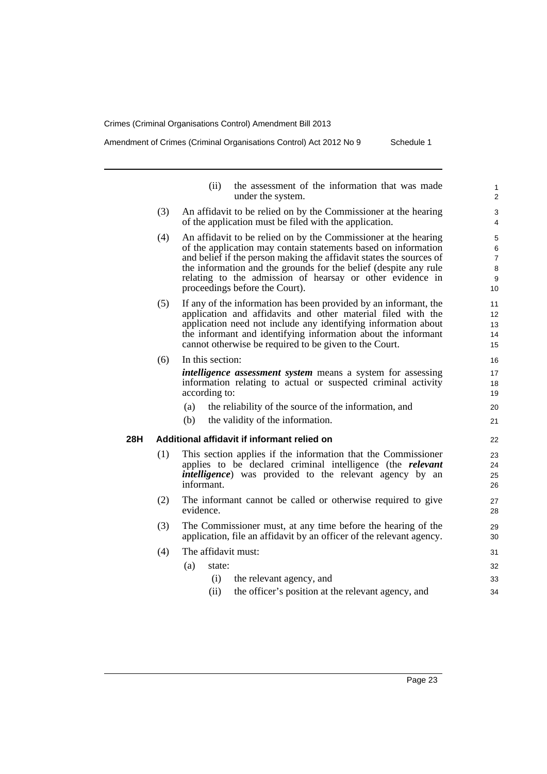Amendment of Crimes (Criminal Organisations Control) Act 2012 No 9 Schedule 1

|     |     | the assessment of the information that was made<br>(ii)<br>under the system.                                                                                                                                                                                                                                                                                                | 1<br>$\overline{2}$                                   |
|-----|-----|-----------------------------------------------------------------------------------------------------------------------------------------------------------------------------------------------------------------------------------------------------------------------------------------------------------------------------------------------------------------------------|-------------------------------------------------------|
|     | (3) | An affidavit to be relied on by the Commissioner at the hearing<br>of the application must be filed with the application.                                                                                                                                                                                                                                                   | 3<br>4                                                |
|     | (4) | An affidavit to be relied on by the Commissioner at the hearing<br>of the application may contain statements based on information<br>and belief if the person making the affidavit states the sources of<br>the information and the grounds for the belief (despite any rule<br>relating to the admission of hearsay or other evidence in<br>proceedings before the Court). | 5<br>6<br>$\overline{7}$<br>8<br>9<br>10 <sup>1</sup> |
|     | (5) | If any of the information has been provided by an informant, the<br>application and affidavits and other material filed with the<br>application need not include any identifying information about<br>the informant and identifying information about the informant<br>cannot otherwise be required to be given to the Court.                                               | 11<br>12<br>13<br>14<br>15                            |
|     | (6) | In this section:<br><i>intelligence assessment system</i> means a system for assessing<br>information relating to actual or suspected criminal activity<br>according to:<br>the reliability of the source of the information, and<br>(a)<br>(b)<br>the validity of the information.                                                                                         | 16<br>17<br>18<br>19<br>20<br>21                      |
| 28H |     | Additional affidavit if informant relied on                                                                                                                                                                                                                                                                                                                                 | 22                                                    |
|     | (1) | This section applies if the information that the Commissioner<br>applies to be declared criminal intelligence (the relevant<br><i>intelligence</i> ) was provided to the relevant agency by an<br>informant.                                                                                                                                                                | 23<br>24<br>25<br>26                                  |
|     | (2) | The informant cannot be called or otherwise required to give<br>evidence.                                                                                                                                                                                                                                                                                                   | 27<br>28                                              |
|     | (3) | The Commissioner must, at any time before the hearing of the<br>application, file an affidavit by an officer of the relevant agency.                                                                                                                                                                                                                                        | 29<br>30                                              |
|     | (4) | The affidavit must:                                                                                                                                                                                                                                                                                                                                                         | 31                                                    |
|     |     | (a)<br>state:                                                                                                                                                                                                                                                                                                                                                               | 32                                                    |
|     |     | the relevant agency, and<br>(i)<br>the officer's position at the relevant agency, and<br>(ii)                                                                                                                                                                                                                                                                               | 33<br>34                                              |
|     |     |                                                                                                                                                                                                                                                                                                                                                                             |                                                       |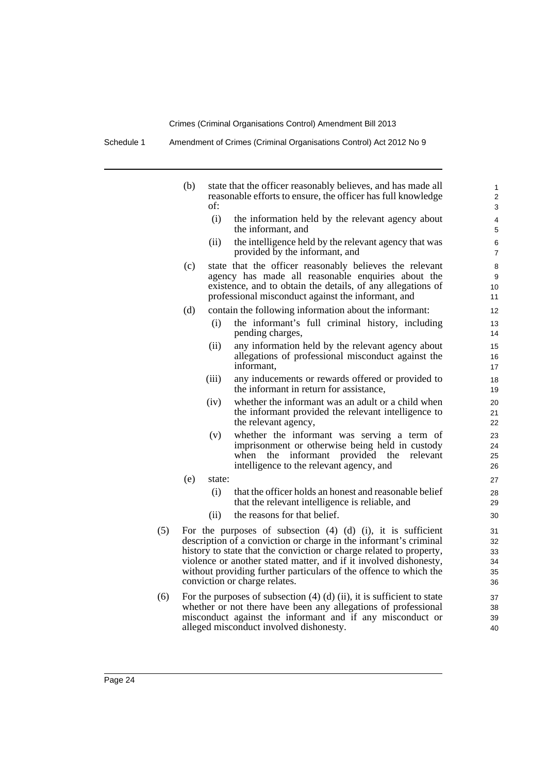Schedule 1 Amendment of Crimes (Criminal Organisations Control) Act 2012 No 9

|     | (b) | of:    | state that the officer reasonably believes, and has made all<br>reasonable efforts to ensure, the officer has full knowledge                                                                                                                                                                                                                                                               | 1<br>2<br>3                      |
|-----|-----|--------|--------------------------------------------------------------------------------------------------------------------------------------------------------------------------------------------------------------------------------------------------------------------------------------------------------------------------------------------------------------------------------------------|----------------------------------|
|     |     | (i)    | the information held by the relevant agency about<br>the informant, and                                                                                                                                                                                                                                                                                                                    | $\overline{4}$<br>5              |
|     |     | (ii)   | the intelligence held by the relevant agency that was<br>provided by the informant, and                                                                                                                                                                                                                                                                                                    | 6<br>$\overline{7}$              |
|     | (c) |        | state that the officer reasonably believes the relevant<br>agency has made all reasonable enquiries about the<br>existence, and to obtain the details, of any allegations of<br>professional misconduct against the informant, and                                                                                                                                                         | 8<br>9<br>10<br>11               |
|     | (d) |        | contain the following information about the informant:                                                                                                                                                                                                                                                                                                                                     | 12                               |
|     |     | (i)    | the informant's full criminal history, including<br>pending charges,                                                                                                                                                                                                                                                                                                                       | 13<br>14                         |
|     |     | (ii)   | any information held by the relevant agency about<br>allegations of professional misconduct against the<br>informant,                                                                                                                                                                                                                                                                      | 15<br>16<br>17                   |
|     |     | (iii)  | any inducements or rewards offered or provided to<br>the informant in return for assistance,                                                                                                                                                                                                                                                                                               | 18<br>19                         |
|     |     | (iv)   | whether the informant was an adult or a child when<br>the informant provided the relevant intelligence to<br>the relevant agency,                                                                                                                                                                                                                                                          | 20<br>21<br>22                   |
|     |     | (v)    | whether the informant was serving a term of<br>imprisonment or otherwise being held in custody<br>informant provided the<br>when<br>the<br>relevant<br>intelligence to the relevant agency, and                                                                                                                                                                                            | 23<br>24<br>25<br>26             |
|     | (e) | state: |                                                                                                                                                                                                                                                                                                                                                                                            | 27                               |
|     |     | (i)    | that the officer holds an honest and reasonable belief<br>that the relevant intelligence is reliable, and                                                                                                                                                                                                                                                                                  | 28<br>29                         |
|     |     | (ii)   | the reasons for that belief.                                                                                                                                                                                                                                                                                                                                                               | 30                               |
| (5) |     |        | For the purposes of subsection $(4)$ $(d)$ $(i)$ , it is sufficient<br>description of a conviction or charge in the informant's criminal<br>history to state that the conviction or charge related to property,<br>violence or another stated matter, and if it involved dishonesty,<br>without providing further particulars of the offence to which the<br>conviction or charge relates. | 31<br>32<br>33<br>34<br>35<br>36 |
| (6) |     |        | For the purposes of subsection $(4)$ $(d)$ $(ii)$ , it is sufficient to state<br>whether or not there have been any allegations of professional<br>misconduct against the informant and if any misconduct or<br>alleged misconduct involved dishonesty.                                                                                                                                    | 37<br>38<br>39<br>40             |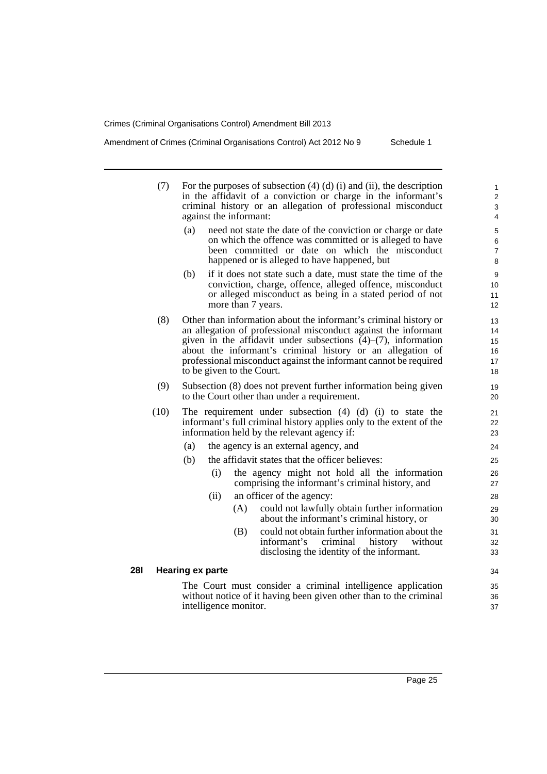**28I Hearing ex parte**

Amendment of Crimes (Criminal Organisations Control) Act 2012 No 9 Schedule 1

| (7)  | For the purposes of subsection $(4)$ $(d)$ $(i)$ and $(ii)$ , the description<br>in the affidavit of a conviction or charge in the informant's<br>criminal history or an allegation of professional misconduct<br>against the informant:                                                                                                                                  | 1<br>2<br>3<br>4                |  |  |  |
|------|---------------------------------------------------------------------------------------------------------------------------------------------------------------------------------------------------------------------------------------------------------------------------------------------------------------------------------------------------------------------------|---------------------------------|--|--|--|
|      | (a)<br>need not state the date of the conviction or charge or date<br>on which the offence was committed or is alleged to have<br>been committed or date on which the misconduct<br>happened or is alleged to have happened, but                                                                                                                                          | 5<br>6<br>$\boldsymbol{7}$<br>8 |  |  |  |
|      | if it does not state such a date, must state the time of the<br>(b)<br>conviction, charge, offence, alleged offence, misconduct<br>or alleged misconduct as being in a stated period of not<br>more than 7 years.                                                                                                                                                         | 9<br>10<br>11<br>12             |  |  |  |
| (8)  | Other than information about the informant's criminal history or<br>an allegation of professional misconduct against the informant<br>given in the affidavit under subsections $(4)$ – $(7)$ , information<br>about the informant's criminal history or an allegation of<br>professional misconduct against the informant cannot be required<br>to be given to the Court. |                                 |  |  |  |
| (9)  | Subsection (8) does not prevent further information being given<br>to the Court other than under a requirement.                                                                                                                                                                                                                                                           | 19<br>20                        |  |  |  |
| (10) | The requirement under subsection $(4)$ $(d)$ $(i)$ to state the<br>informant's full criminal history applies only to the extent of the<br>information held by the relevant agency if:                                                                                                                                                                                     | 21<br>22<br>23                  |  |  |  |
|      | the agency is an external agency, and<br>(a)                                                                                                                                                                                                                                                                                                                              | 24                              |  |  |  |
|      | the affidavit states that the officer believes:<br>(b)                                                                                                                                                                                                                                                                                                                    | 25                              |  |  |  |
|      | the agency might not hold all the information<br>(i)<br>comprising the informant's criminal history, and                                                                                                                                                                                                                                                                  | 26<br>27                        |  |  |  |
|      | (ii)<br>an officer of the agency:<br>could not lawfully obtain further information<br>(A)<br>about the informant's criminal history, or                                                                                                                                                                                                                                   | 28<br>29<br>30                  |  |  |  |
|      | could not obtain further information about the<br>(B)<br>informant's<br>criminal<br>history<br>without<br>disclosing the identity of the informant.                                                                                                                                                                                                                       | 31<br>32<br>33                  |  |  |  |
|      | <b>Hearing ex parte</b>                                                                                                                                                                                                                                                                                                                                                   | 34                              |  |  |  |
|      | The Court must consider a criminal intelligence application<br>without notice of it having been given other than to the criminal<br>intelligence monitor.                                                                                                                                                                                                                 | 35<br>36<br>37                  |  |  |  |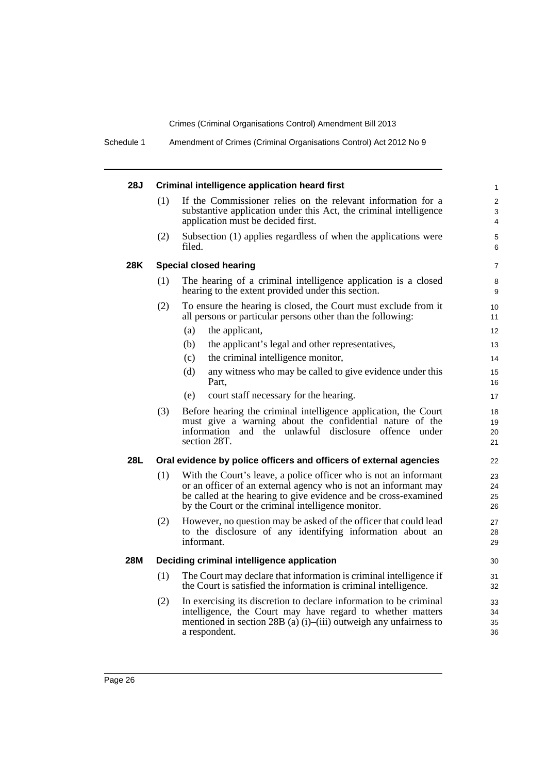| 28J        |     | <b>Criminal intelligence application heard first</b>                                                                                                                                                                                                         | $\mathbf{1}$         |
|------------|-----|--------------------------------------------------------------------------------------------------------------------------------------------------------------------------------------------------------------------------------------------------------------|----------------------|
|            | (1) | If the Commissioner relies on the relevant information for a<br>substantive application under this Act, the criminal intelligence<br>application must be decided first.                                                                                      | 2<br>3<br>4          |
|            | (2) | Subsection (1) applies regardless of when the applications were<br>filed.                                                                                                                                                                                    | 5<br>6               |
| 28K        |     | Special closed hearing                                                                                                                                                                                                                                       | $\overline{7}$       |
|            | (1) | The hearing of a criminal intelligence application is a closed<br>hearing to the extent provided under this section.                                                                                                                                         | 8<br>9               |
|            | (2) | To ensure the hearing is closed, the Court must exclude from it<br>all persons or particular persons other than the following:                                                                                                                               | 10<br>11             |
|            |     | (a)<br>the applicant,                                                                                                                                                                                                                                        | 12                   |
|            |     | (b)<br>the applicant's legal and other representatives,                                                                                                                                                                                                      | 13                   |
|            |     | the criminal intelligence monitor,<br>(c)                                                                                                                                                                                                                    | 14                   |
|            |     | any witness who may be called to give evidence under this<br>(d)<br>Part.                                                                                                                                                                                    | 15<br>16             |
|            |     | court staff necessary for the hearing.<br>(e)                                                                                                                                                                                                                | 17                   |
|            | (3) | Before hearing the criminal intelligence application, the Court<br>must give a warning about the confidential nature of the<br>information and the unlawful disclosure offence under<br>section 28T.                                                         | 18<br>19<br>20<br>21 |
| 28L        |     | Oral evidence by police officers and officers of external agencies                                                                                                                                                                                           | 22                   |
|            | (1) | With the Court's leave, a police officer who is not an informant<br>or an officer of an external agency who is not an informant may<br>be called at the hearing to give evidence and be cross-examined<br>by the Court or the criminal intelligence monitor. | 23<br>24<br>25<br>26 |
|            | (2) | However, no question may be asked of the officer that could lead<br>to the disclosure of any identifying information about an<br>informant.                                                                                                                  | 27<br>28<br>29       |
| <b>28M</b> |     | Deciding criminal intelligence application                                                                                                                                                                                                                   | 30                   |
|            | (1) | The Court may declare that information is criminal intelligence if<br>the Court is satisfied the information is criminal intelligence.                                                                                                                       | 31<br>32             |
|            | (2) | In exercising its discretion to declare information to be criminal<br>intelligence, the Court may have regard to whether matters<br>mentioned in section 28B (a) (i)–(iii) outweigh any unfairness to<br>a respondent.                                       | 33<br>34<br>35<br>36 |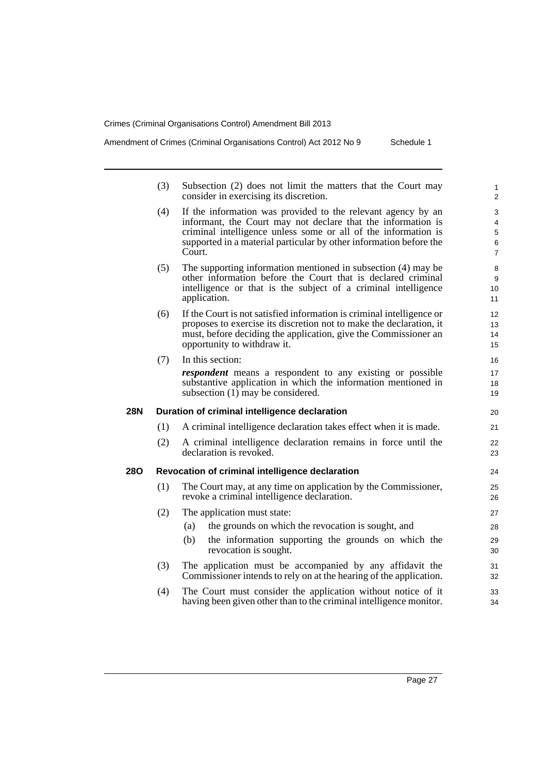Amendment of Crimes (Criminal Organisations Control) Act 2012 No 9 Schedule 1

| (3) | Subsection (2) does not limit the matters that the Court may |  |  |  |  |  |
|-----|--------------------------------------------------------------|--|--|--|--|--|
|     | consider in exercising its discretion.                       |  |  |  |  |  |

- (4) If the information was provided to the relevant agency by an informant, the Court may not declare that the information is criminal intelligence unless some or all of the information is supported in a material particular by other information before the Court.
- (5) The supporting information mentioned in subsection (4) may be other information before the Court that is declared criminal intelligence or that is the subject of a criminal intelligence application.
- (6) If the Court is not satisfied information is criminal intelligence or proposes to exercise its discretion not to make the declaration, it must, before deciding the application, give the Commissioner an opportunity to withdraw it.
- (7) In this section:

*respondent* means a respondent to any existing or possible substantive application in which the information mentioned in subsection  $(1)$  may be considered.

### **28N Duration of criminal intelligence declaration**

- (1) A criminal intelligence declaration takes effect when it is made.
- (2) A criminal intelligence declaration remains in force until the declaration is revoked.

# **28O Revocation of criminal intelligence declaration**

- (1) The Court may, at any time on application by the Commissioner, revoke a criminal intelligence declaration.
- (2) The application must state:
	- (a) the grounds on which the revocation is sought, and
	- (b) the information supporting the grounds on which the revocation is sought.
- (3) The application must be accompanied by any affidavit the Commissioner intends to rely on at the hearing of the application.
- (4) The Court must consider the application without notice of it having been given other than to the criminal intelligence monitor.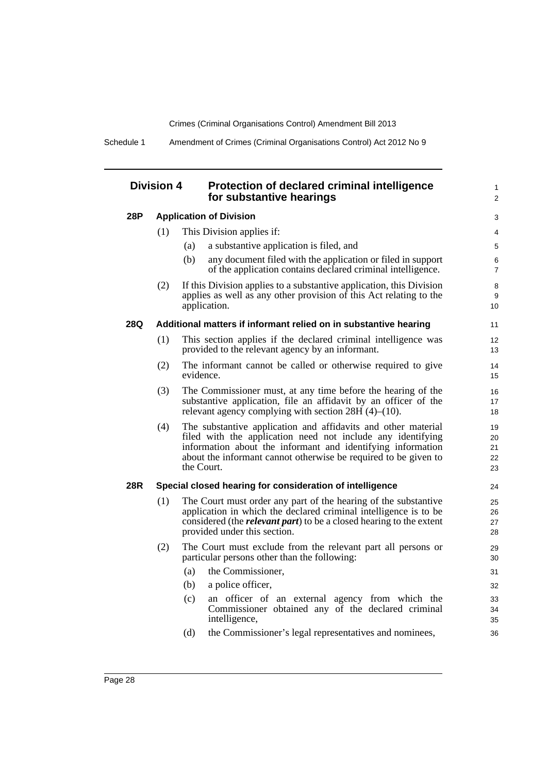| <b>Division 4</b> |     | <b>Protection of declared criminal intelligence</b><br>for substantive hearings                                                                                                                                                                                              |  |  |  |  |
|-------------------|-----|------------------------------------------------------------------------------------------------------------------------------------------------------------------------------------------------------------------------------------------------------------------------------|--|--|--|--|
| 28P               |     | <b>Application of Division</b>                                                                                                                                                                                                                                               |  |  |  |  |
|                   | (1) | This Division applies if:                                                                                                                                                                                                                                                    |  |  |  |  |
|                   |     | a substantive application is filed, and<br>(a)                                                                                                                                                                                                                               |  |  |  |  |
|                   |     | (b)<br>any document filed with the application or filed in support<br>of the application contains declared criminal intelligence.                                                                                                                                            |  |  |  |  |
|                   | (2) | If this Division applies to a substantive application, this Division<br>applies as well as any other provision of this Act relating to the<br>application.                                                                                                                   |  |  |  |  |
| 28Q               |     | Additional matters if informant relied on in substantive hearing                                                                                                                                                                                                             |  |  |  |  |
|                   | (1) | This section applies if the declared criminal intelligence was<br>provided to the relevant agency by an informant.                                                                                                                                                           |  |  |  |  |
|                   | (2) | The informant cannot be called or otherwise required to give<br>evidence.                                                                                                                                                                                                    |  |  |  |  |
|                   | (3) | The Commissioner must, at any time before the hearing of the<br>substantive application, file an affidavit by an officer of the<br>relevant agency complying with section $28H(4)$ – $(10)$ .                                                                                |  |  |  |  |
|                   | (4) | The substantive application and affidavits and other material<br>filed with the application need not include any identifying<br>information about the informant and identifying information<br>about the informant cannot otherwise be required to be given to<br>the Court. |  |  |  |  |
| <b>28R</b>        |     | Special closed hearing for consideration of intelligence                                                                                                                                                                                                                     |  |  |  |  |
|                   | (1) | The Court must order any part of the hearing of the substantive<br>application in which the declared criminal intelligence is to be<br>considered (the <i>relevant part</i> ) to be a closed hearing to the extent<br>provided under this section.                           |  |  |  |  |
|                   | (2) | The Court must exclude from the relevant part all persons or<br>particular persons other than the following:                                                                                                                                                                 |  |  |  |  |
|                   |     | the Commissioner,<br>(a)                                                                                                                                                                                                                                                     |  |  |  |  |
|                   |     | a police officer,<br>(b)                                                                                                                                                                                                                                                     |  |  |  |  |
|                   |     | an officer of an external agency from which the<br>(c)<br>Commissioner obtained any of the declared criminal<br>intelligence,                                                                                                                                                |  |  |  |  |
|                   |     | the Commissioner's legal representatives and nominees,<br>(d)                                                                                                                                                                                                                |  |  |  |  |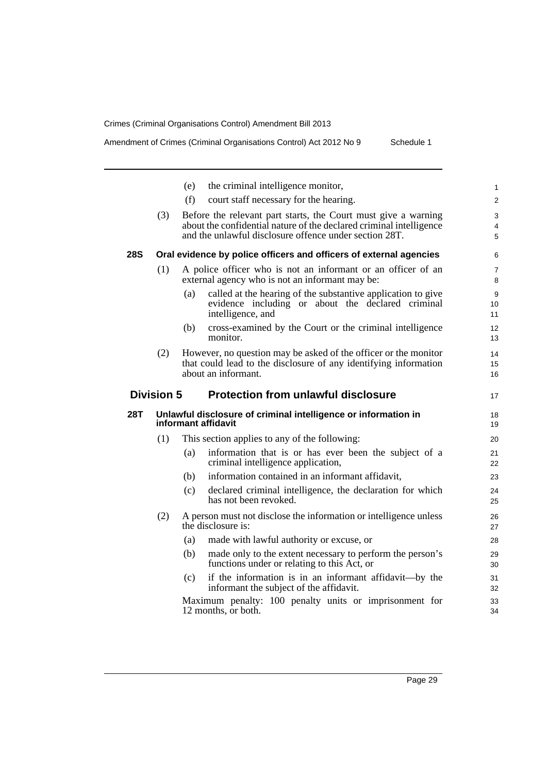|     |                   | the criminal intelligence monitor,<br>(e)                                                                                                                                                       | $\mathbf{1}$               |
|-----|-------------------|-------------------------------------------------------------------------------------------------------------------------------------------------------------------------------------------------|----------------------------|
|     |                   | (f)<br>court staff necessary for the hearing.                                                                                                                                                   | 2                          |
|     | (3)               | Before the relevant part starts, the Court must give a warning<br>about the confidential nature of the declared criminal intelligence<br>and the unlawful disclosure offence under section 28T. | 3<br>4<br>5                |
| 28S |                   | Oral evidence by police officers and officers of external agencies                                                                                                                              | 6                          |
|     | (1)               | A police officer who is not an informant or an officer of an<br>external agency who is not an informant may be:                                                                                 | $\overline{7}$<br>8        |
|     |                   | called at the hearing of the substantive application to give<br>(a)<br>evidence including or about the declared criminal<br>intelligence, and                                                   | 9<br>10 <sup>1</sup><br>11 |
|     |                   | cross-examined by the Court or the criminal intelligence<br>(b)<br>monitor.                                                                                                                     | 12<br>13                   |
|     | (2)               | However, no question may be asked of the officer or the monitor<br>that could lead to the disclosure of any identifying information<br>about an informant.                                      | 14<br>15<br>16             |
|     | <b>Division 5</b> | <b>Protection from unlawful disclosure</b>                                                                                                                                                      | 17                         |
| 28T |                   | Unlawful disclosure of criminal intelligence or information in<br>informant affidavit                                                                                                           | 18<br>19                   |
|     | (1)               | This section applies to any of the following:                                                                                                                                                   | 20                         |
|     |                   | information that is or has ever been the subject of a<br>(a)<br>criminal intelligence application,                                                                                              | 21<br>22                   |
|     |                   | information contained in an informant affidavit,<br>(b)                                                                                                                                         | 23                         |
|     |                   | declared criminal intelligence, the declaration for which<br>(c)<br>has not been revoked.                                                                                                       | 24<br>25                   |
|     | (2)               | A person must not disclose the information or intelligence unless<br>the disclosure is:                                                                                                         | 26<br>27                   |
|     |                   | made with lawful authority or excuse, or<br>(a)                                                                                                                                                 | 28                         |
|     |                   | made only to the extent necessary to perform the person's<br>(b)<br>functions under or relating to this Act, or                                                                                 | 29<br>30                   |
|     |                   | if the information is in an informant affidavit—by the<br>(c)<br>informant the subject of the affidavit.                                                                                        | 31<br>32                   |
|     |                   | Maximum penalty: 100 penalty units or imprisonment for<br>12 months, or both.                                                                                                                   | 33<br>34                   |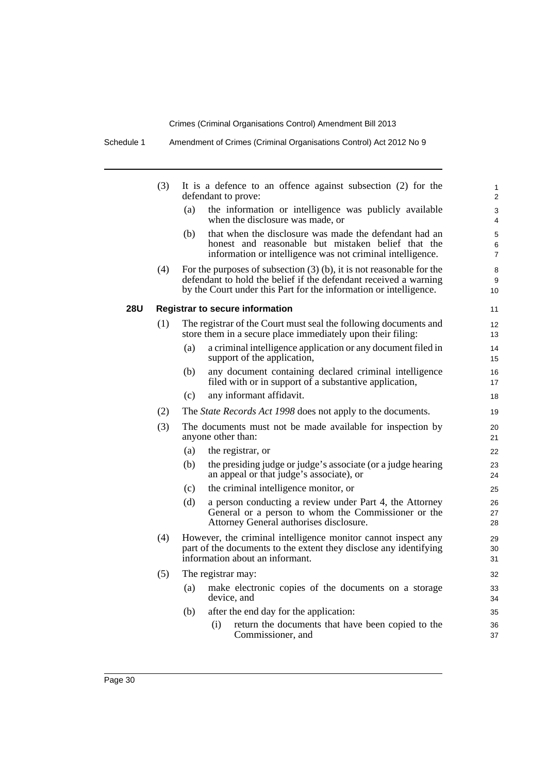|     | (3) | It is a defence to an offence against subsection (2) for the<br>defendant to prove:                                                                                                                             | 1<br>$\overline{2}$      |  |
|-----|-----|-----------------------------------------------------------------------------------------------------------------------------------------------------------------------------------------------------------------|--------------------------|--|
|     |     | the information or intelligence was publicly available<br>(a)<br>when the disclosure was made, or                                                                                                               | 3<br>4                   |  |
|     |     | that when the disclosure was made the defendant had an<br>(b)<br>honest and reasonable but mistaken belief that the<br>information or intelligence was not criminal intelligence.                               | 5<br>6<br>$\overline{7}$ |  |
|     | (4) | For the purposes of subsection $(3)$ (b), it is not reasonable for the<br>defendant to hold the belief if the defendant received a warning<br>by the Court under this Part for the information or intelligence. | 8<br>9<br>10             |  |
| 28U |     | <b>Registrar to secure information</b>                                                                                                                                                                          | 11                       |  |
|     | (1) | The registrar of the Court must seal the following documents and<br>store them in a secure place immediately upon their filing:                                                                                 |                          |  |
|     |     | (a)<br>a criminal intelligence application or any document filed in<br>support of the application,                                                                                                              | 14<br>15                 |  |
|     |     | any document containing declared criminal intelligence<br>(b)<br>filed with or in support of a substantive application,                                                                                         | 16<br>17                 |  |
|     |     | any informant affidavit.<br>(c)                                                                                                                                                                                 | 18                       |  |
|     | (2) | The State Records Act 1998 does not apply to the documents.                                                                                                                                                     | 19                       |  |
|     | (3) | The documents must not be made available for inspection by<br>anyone other than:                                                                                                                                | 20<br>21                 |  |
|     |     | (a)<br>the registrar, or                                                                                                                                                                                        | 22                       |  |
|     |     | the presiding judge or judge's associate (or a judge hearing<br>(b)<br>an appeal or that judge's associate), or                                                                                                 | 23<br>24                 |  |
|     |     | the criminal intelligence monitor, or<br>(c)                                                                                                                                                                    | 25                       |  |
|     |     | a person conducting a review under Part 4, the Attorney<br>(d)<br>General or a person to whom the Commissioner or the<br>Attorney General authorises disclosure.                                                | 26<br>27<br>28           |  |
|     | (4) | However, the criminal intelligence monitor cannot inspect any<br>part of the documents to the extent they disclose any identifying<br>information about an informant.                                           |                          |  |
|     | (5) | The registrar may:                                                                                                                                                                                              | 32                       |  |
|     |     | make electronic copies of the documents on a storage<br>(a)<br>device, and                                                                                                                                      | 33<br>34                 |  |
|     |     | after the end day for the application:<br>(b)                                                                                                                                                                   | 35                       |  |
|     |     | return the documents that have been copied to the<br>(i)<br>Commissioner, and                                                                                                                                   | 36<br>37                 |  |
|     |     |                                                                                                                                                                                                                 |                          |  |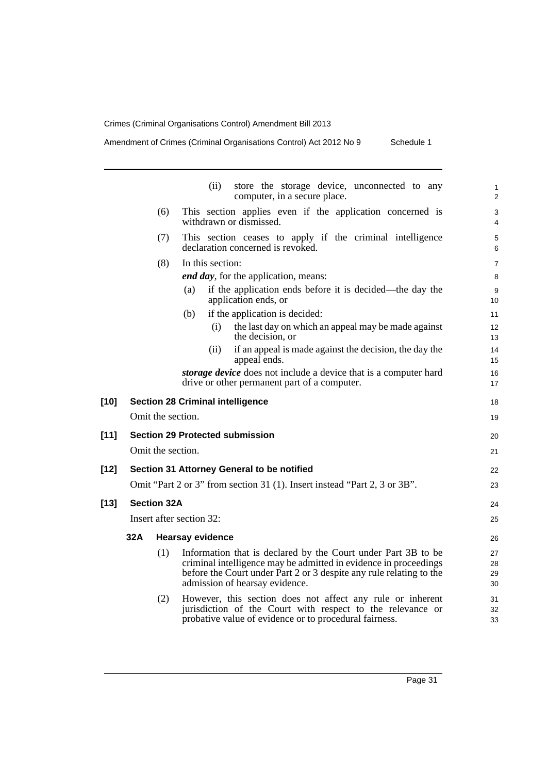| Amendment of Crimes (Criminal Organisations Control) Act 2012 No 9 | Schedule 1 |
|--------------------------------------------------------------------|------------|
|--------------------------------------------------------------------|------------|

|        |     |                    | (ii)<br>store the storage device, unconnected to any<br>computer, in a secure place.                                                                                                                                                       | $\mathbf{1}$<br>$\overline{2}$ |
|--------|-----|--------------------|--------------------------------------------------------------------------------------------------------------------------------------------------------------------------------------------------------------------------------------------|--------------------------------|
|        |     | (6)                | This section applies even if the application concerned is<br>withdrawn or dismissed.                                                                                                                                                       | 3<br>4                         |
|        |     | (7)                | This section ceases to apply if the criminal intelligence<br>declaration concerned is revoked.                                                                                                                                             | 5<br>6                         |
|        |     | (8)                | In this section:                                                                                                                                                                                                                           | $\overline{7}$                 |
|        |     |                    | end day, for the application, means:                                                                                                                                                                                                       | 8                              |
|        |     |                    | if the application ends before it is decided—the day the<br>(a)<br>application ends, or                                                                                                                                                    | 9<br>10                        |
|        |     |                    | if the application is decided:<br>(b)                                                                                                                                                                                                      | 11                             |
|        |     |                    | (i)<br>the last day on which an appeal may be made against<br>the decision, or                                                                                                                                                             | 12<br>13                       |
|        |     |                    | if an appeal is made against the decision, the day the<br>(ii)<br>appeal ends.                                                                                                                                                             | 14<br>15                       |
|        |     |                    | storage device does not include a device that is a computer hard<br>drive or other permanent part of a computer.                                                                                                                           | 16<br>17                       |
| [10]   |     |                    | <b>Section 28 Criminal intelligence</b>                                                                                                                                                                                                    | 18                             |
|        |     | Omit the section.  |                                                                                                                                                                                                                                            | 19                             |
| $[11]$ |     |                    | <b>Section 29 Protected submission</b>                                                                                                                                                                                                     | 20                             |
|        |     | Omit the section.  |                                                                                                                                                                                                                                            | 21                             |
|        |     |                    |                                                                                                                                                                                                                                            |                                |
| $[12]$ |     |                    | Section 31 Attorney General to be notified                                                                                                                                                                                                 | 22                             |
|        |     |                    | Omit "Part 2 or 3" from section 31 (1). Insert instead "Part 2, 3 or 3B".                                                                                                                                                                  | 23                             |
| $[13]$ |     | <b>Section 32A</b> |                                                                                                                                                                                                                                            | 24                             |
|        |     |                    | Insert after section 32:                                                                                                                                                                                                                   | 25                             |
|        | 32A |                    | <b>Hearsay evidence</b>                                                                                                                                                                                                                    | 26                             |
|        |     | (1)                | Information that is declared by the Court under Part 3B to be<br>criminal intelligence may be admitted in evidence in proceedings<br>before the Court under Part 2 or 3 despite any rule relating to the<br>admission of hearsay evidence. | 27<br>28<br>29<br>30           |
|        |     | (2)                | However, this section does not affect any rule or inherent<br>jurisdiction of the Court with respect to the relevance or<br>probative value of evidence or to procedural fairness.                                                         | 31<br>32<br>33                 |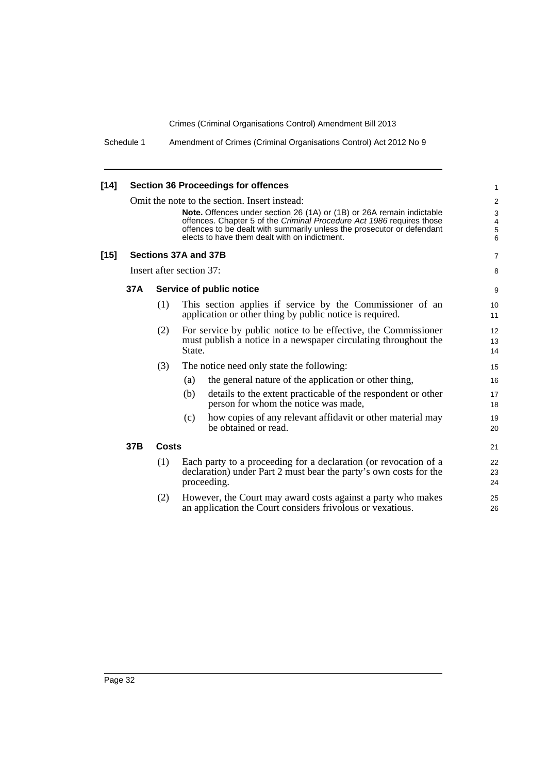| $[14]$ |     |       | <b>Section 36 Proceedings for offences</b>                                                                                                                                                                                                                                       | 1                                                       |
|--------|-----|-------|----------------------------------------------------------------------------------------------------------------------------------------------------------------------------------------------------------------------------------------------------------------------------------|---------------------------------------------------------|
|        |     |       | Omit the note to the section. Insert instead:                                                                                                                                                                                                                                    | $\overline{\mathbf{c}}$                                 |
|        |     |       | <b>Note.</b> Offences under section 26 (1A) or (1B) or 26A remain indictable<br>offences. Chapter 5 of the Criminal Procedure Act 1986 requires those<br>offences to be dealt with summarily unless the prosecutor or defendant<br>elects to have them dealt with on indictment. | 3<br>$\pmb{4}$<br>$\begin{array}{c} 5 \\ 6 \end{array}$ |
| $[15]$ |     |       | Sections 37A and 37B                                                                                                                                                                                                                                                             | $\overline{7}$                                          |
|        |     |       | Insert after section 37:                                                                                                                                                                                                                                                         | 8                                                       |
|        | 37A |       | Service of public notice                                                                                                                                                                                                                                                         | 9                                                       |
|        |     | (1)   | This section applies if service by the Commissioner of an<br>application or other thing by public notice is required.                                                                                                                                                            | 10<br>11                                                |
|        |     | (2)   | For service by public notice to be effective, the Commissioner<br>must publish a notice in a newspaper circulating throughout the<br>State.                                                                                                                                      | 12<br>13<br>14                                          |
|        |     | (3)   | The notice need only state the following:                                                                                                                                                                                                                                        | 15                                                      |
|        |     |       | the general nature of the application or other thing,<br>(a)                                                                                                                                                                                                                     | 16                                                      |
|        |     |       | details to the extent practicable of the respondent or other<br>(b)<br>person for whom the notice was made,                                                                                                                                                                      | 17<br>18                                                |
|        |     |       | how copies of any relevant affidavit or other material may<br>(c)<br>be obtained or read.                                                                                                                                                                                        | 19<br>20                                                |
|        | 37B | Costs |                                                                                                                                                                                                                                                                                  | 21                                                      |
|        |     | (1)   | Each party to a proceeding for a declaration (or revocation of a<br>declaration) under Part 2 must bear the party's own costs for the<br>proceeding.                                                                                                                             | 22<br>23<br>24                                          |
|        |     | (2)   | However, the Court may award costs against a party who makes<br>an application the Court considers frivolous or vexatious.                                                                                                                                                       | 25<br>26                                                |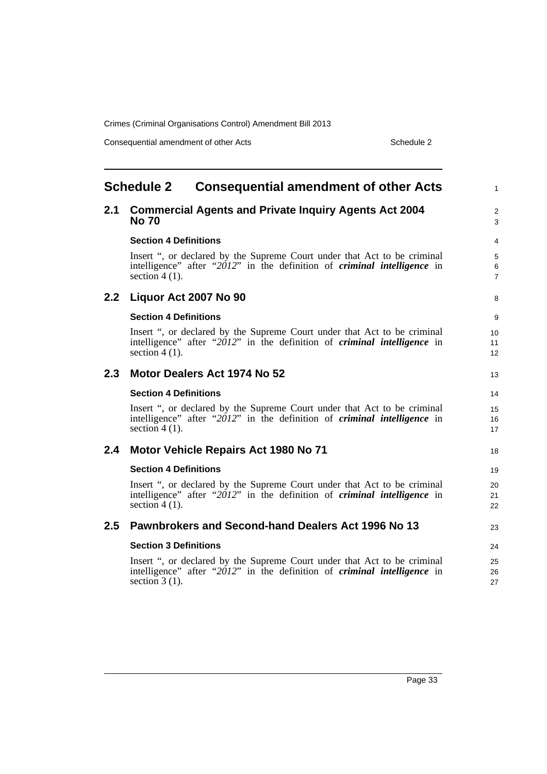Consequential amendment of other Acts Schedule 2

<span id="page-38-0"></span>

|     | <b>Schedule 2</b><br><b>Consequential amendment of other Acts</b>                                                                                                                   | $\mathbf{1}$                             |
|-----|-------------------------------------------------------------------------------------------------------------------------------------------------------------------------------------|------------------------------------------|
| 2.1 | <b>Commercial Agents and Private Inquiry Agents Act 2004</b><br><b>No 70</b>                                                                                                        | $\overline{2}$<br>3                      |
|     | <b>Section 4 Definitions</b>                                                                                                                                                        | 4                                        |
|     | Insert ", or declared by the Supreme Court under that Act to be criminal<br>intelligence" after " $2012$ " in the definition of <i>criminal intelligence</i> in<br>section $4(1)$ . | 5<br>6<br>$\overline{7}$                 |
| 2.2 | Liquor Act 2007 No 90                                                                                                                                                               | 8                                        |
|     | <b>Section 4 Definitions</b>                                                                                                                                                        | 9                                        |
|     | Insert ", or declared by the Supreme Court under that Act to be criminal<br>intelligence" after " $2012$ " in the definition of <i>criminal intelligence</i> in<br>section $4(1)$ . | 10 <sup>°</sup><br>11<br>12 <sup>°</sup> |
| 2.3 | Motor Dealers Act 1974 No 52                                                                                                                                                        | 13                                       |
|     | <b>Section 4 Definitions</b>                                                                                                                                                        | 14                                       |
|     | Insert ", or declared by the Supreme Court under that Act to be criminal<br>intelligence" after "2012" in the definition of <i>criminal intelligence</i> in<br>section $4(1)$ .     | 15<br>16<br>17                           |
| 2.4 | Motor Vehicle Repairs Act 1980 No 71                                                                                                                                                | 18                                       |
|     | <b>Section 4 Definitions</b>                                                                                                                                                        | 19                                       |
|     | Insert ", or declared by the Supreme Court under that Act to be criminal<br>intelligence" after " $2012$ " in the definition of <i>criminal intelligence</i> in<br>section $4(1)$ . | 20<br>21<br>22                           |
| 2.5 | Pawnbrokers and Second-hand Dealers Act 1996 No 13                                                                                                                                  | 23                                       |
|     | <b>Section 3 Definitions</b>                                                                                                                                                        | 24                                       |
|     | Insert ", or declared by the Supreme Court under that Act to be criminal<br>intelligence" after "2012" in the definition of <i>criminal intelligence</i> in<br>section $3(1)$ .     | 25<br>26<br>27                           |